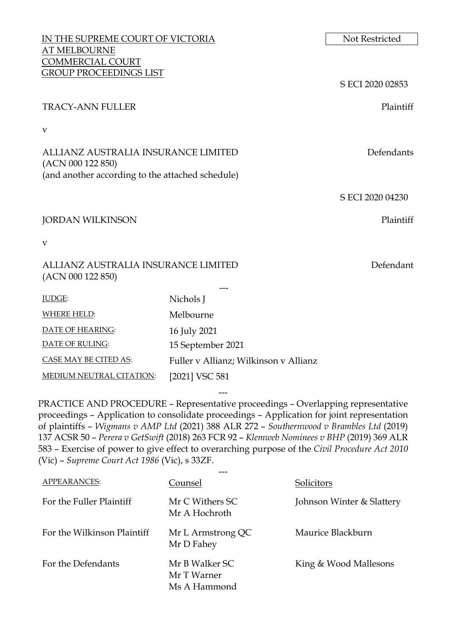| IN THE SUPREME COURT OF VICTORIA      | Not Restricted                                                                                                                                                  |
|---------------------------------------|-----------------------------------------------------------------------------------------------------------------------------------------------------------------|
|                                       |                                                                                                                                                                 |
|                                       |                                                                                                                                                                 |
|                                       | S ECI 2020 02853                                                                                                                                                |
|                                       | Plaintiff                                                                                                                                                       |
|                                       |                                                                                                                                                                 |
|                                       | Defendants                                                                                                                                                      |
|                                       |                                                                                                                                                                 |
|                                       | S ECI 2020 04230                                                                                                                                                |
|                                       | Plaintiff                                                                                                                                                       |
|                                       |                                                                                                                                                                 |
|                                       | Defendant                                                                                                                                                       |
| Nichols J                             |                                                                                                                                                                 |
| Melbourne                             |                                                                                                                                                                 |
| 16 July 2021                          |                                                                                                                                                                 |
| 15 September 2021                     |                                                                                                                                                                 |
| Fuller v Allianz; Wilkinson v Allianz |                                                                                                                                                                 |
| [2021] VSC 581                        |                                                                                                                                                                 |
|                                       | <b>GROUP PROCEEDINGS LIST</b><br>ALLIANZ AUSTRALIA INSURANCE LIMITED<br>(and another according to the attached schedule)<br>ALLIANZ AUSTRALIA INSURANCE LIMITED |

PRACTICE AND PROCEDURE – Representative proceedings – Overlapping representative proceedings – Application to consolidate proceedings – Application for joint representation of plaintiffs – *Wigmans v AMP Ltd* (2021) 388 ALR 272 – *Southernwood v Brambles Ltd* (2019) 137 ACSR 50 – *Perera v GetSwift* (2018) 263 FCR 92 – *Klemweb Nominees v BHP* (2019) 369 ALR 583 – Exercise of power to give effect to overarching purpose of the *Civil Procedure Act 2010*  (Vic) – *Supreme Court Act 1986* (Vic), s 33ZF.

---

| APPEARANCES:                | Counsel                                       | <b>Solicitors</b>         |
|-----------------------------|-----------------------------------------------|---------------------------|
| For the Fuller Plaintiff    | Mr C Withers SC<br>Mr A Hochroth              | Johnson Winter & Slattery |
| For the Wilkinson Plaintiff | Mr L Armstrong QC<br>Mr D Fahey               | Maurice Blackburn         |
| For the Defendants          | Mr B Walker SC<br>Mr T Warner<br>Ms A Hammond | King & Wood Mallesons     |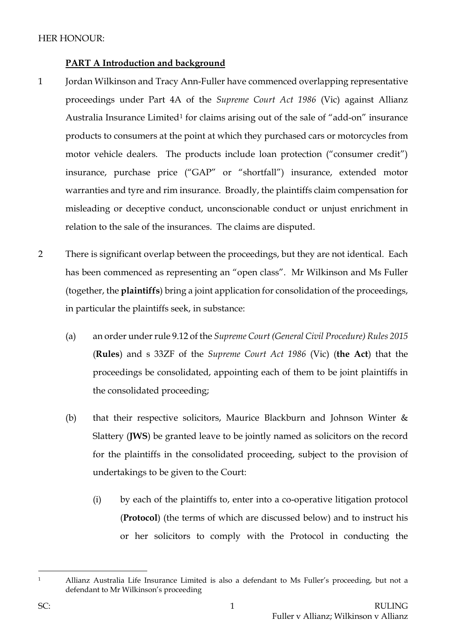# **PART A Introduction and background**

- 1 Jordan Wilkinson and Tracy Ann-Fuller have commenced overlapping representative proceedings under Part 4A of the *Supreme Court Act 1986* (Vic) against Allianz Australia Insurance Limited<sup>[1](#page-1-0)</sup> for claims arising out of the sale of "add-on" insurance products to consumers at the point at which they purchased cars or motorcycles from motor vehicle dealers. The products include loan protection ("consumer credit") insurance, purchase price ("GAP" or "shortfall") insurance, extended motor warranties and tyre and rim insurance. Broadly, the plaintiffs claim compensation for misleading or deceptive conduct, unconscionable conduct or unjust enrichment in relation to the sale of the insurances. The claims are disputed.
- 2 There is significant overlap between the proceedings, but they are not identical. Each has been commenced as representing an "open class". Mr Wilkinson and Ms Fuller (together, the **plaintiffs**) bring a joint application for consolidation of the proceedings, in particular the plaintiffs seek, in substance:
	- (a) an order under rule 9.12 of the *Supreme Court (General Civil Procedure) Rules 2015* (**Rules**) and s 33ZF of the *Supreme Court Act 1986* (Vic) (**the Act**) that the proceedings be consolidated, appointing each of them to be joint plaintiffs in the consolidated proceeding;
	- (b) that their respective solicitors, Maurice Blackburn and Johnson Winter  $\&$ Slattery (**JWS**) be granted leave to be jointly named as solicitors on the record for the plaintiffs in the consolidated proceeding, subject to the provision of undertakings to be given to the Court:
		- (i) by each of the plaintiffs to, enter into a co-operative litigation protocol (**Protocol**) (the terms of which are discussed below) and to instruct his or her solicitors to comply with the Protocol in conducting the

<span id="page-1-0"></span>

<sup>1</sup> Allianz Australia Life Insurance Limited is also a defendant to Ms Fuller's proceeding, but not a defendant to Mr Wilkinson's proceeding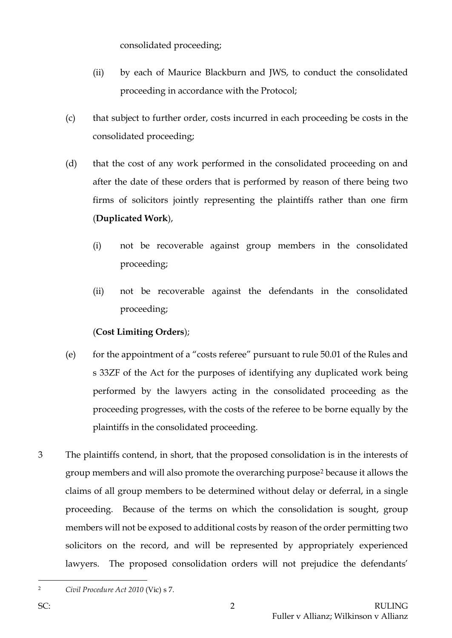consolidated proceeding;

- (ii) by each of Maurice Blackburn and JWS, to conduct the consolidated proceeding in accordance with the Protocol;
- (c) that subject to further order, costs incurred in each proceeding be costs in the consolidated proceeding;
- (d) that the cost of any work performed in the consolidated proceeding on and after the date of these orders that is performed by reason of there being two firms of solicitors jointly representing the plaintiffs rather than one firm (**Duplicated Work**),
	- (i) not be recoverable against group members in the consolidated proceeding;
	- (ii) not be recoverable against the defendants in the consolidated proceeding;

# (**Cost Limiting Orders**);

- (e) for the appointment of a "costs referee" pursuant to rule 50.01 of the Rules and s 33ZF of the Act for the purposes of identifying any duplicated work being performed by the lawyers acting in the consolidated proceeding as the proceeding progresses, with the costs of the referee to be borne equally by the plaintiffs in the consolidated proceeding.
- 3 The plaintiffs contend, in short, that the proposed consolidation is in the interests of group members and will also promote the overarching purpose[2](#page-2-0) because it allows the claims of all group members to be determined without delay or deferral, in a single proceeding. Because of the terms on which the consolidation is sought, group members will not be exposed to additional costs by reason of the order permitting two solicitors on the record, and will be represented by appropriately experienced lawyers. The proposed consolidation orders will not prejudice the defendants'

<span id="page-2-0"></span><sup>2</sup> *Civil Procedure Act 2010* (Vic) s 7.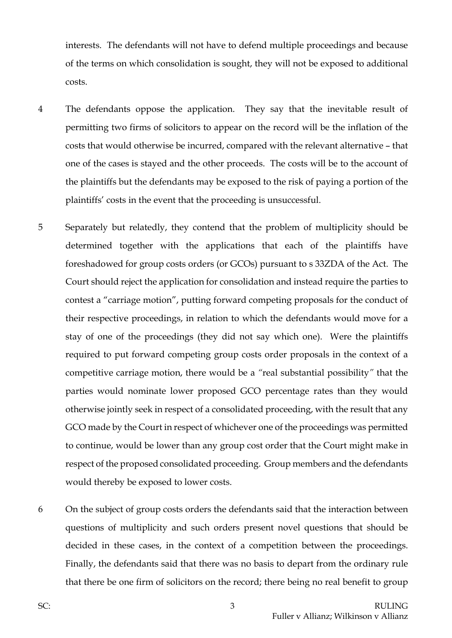interests. The defendants will not have to defend multiple proceedings and because of the terms on which consolidation is sought, they will not be exposed to additional costs.

- 4 The defendants oppose the application. They say that the inevitable result of permitting two firms of solicitors to appear on the record will be the inflation of the costs that would otherwise be incurred, compared with the relevant alternative – that one of the cases is stayed and the other proceeds. The costs will be to the account of the plaintiffs but the defendants may be exposed to the risk of paying a portion of the plaintiffs' costs in the event that the proceeding is unsuccessful.
- 5 Separately but relatedly, they contend that the problem of multiplicity should be determined together with the applications that each of the plaintiffs have foreshadowed for group costs orders (or GCOs) pursuant to s 33ZDA of the Act. The Court should reject the application for consolidation and instead require the parties to contest a "carriage motion", putting forward competing proposals for the conduct of their respective proceedings, in relation to which the defendants would move for a stay of one of the proceedings (they did not say which one). Were the plaintiffs required to put forward competing group costs order proposals in the context of a competitive carriage motion, there would be a *"*real substantial possibility*"* that the parties would nominate lower proposed GCO percentage rates than they would otherwise jointly seek in respect of a consolidated proceeding, with the result that any GCO made by the Court in respect of whichever one of the proceedings was permitted to continue, would be lower than any group cost order that the Court might make in respect of the proposed consolidated proceeding. Group members and the defendants would thereby be exposed to lower costs.
- 6 On the subject of group costs orders the defendants said that the interaction between questions of multiplicity and such orders present novel questions that should be decided in these cases, in the context of a competition between the proceedings. Finally, the defendants said that there was no basis to depart from the ordinary rule that there be one firm of solicitors on the record; there being no real benefit to group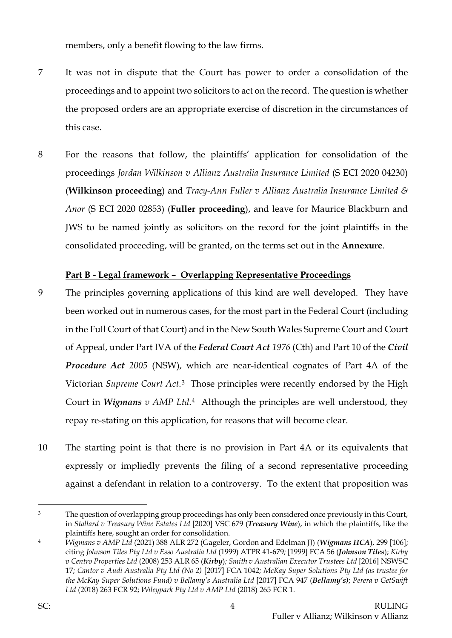members, only a benefit flowing to the law firms.

- 7 It was not in dispute that the Court has power to order a consolidation of the proceedings and to appoint two solicitors to act on the record. The question is whether the proposed orders are an appropriate exercise of discretion in the circumstances of this case.
- 8 For the reasons that follow, the plaintiffs' application for consolidation of the proceedings *Jordan Wilkinson v Allianz Australia Insurance Limited* (S ECI 2020 04230) (**Wilkinson proceeding**) and *Tracy-Ann Fuller v Allianz Australia Insurance Limited & Anor* (S ECI 2020 02853) (**Fuller proceeding**), and leave for Maurice Blackburn and JWS to be named jointly as solicitors on the record for the joint plaintiffs in the consolidated proceeding, will be granted, on the terms set out in the **Annexure**.

## **Part B - Legal framework – Overlapping Representative Proceedings**

- 9 The principles governing applications of this kind are well developed. They have been worked out in numerous cases, for the most part in the Federal Court (including in the Full Court of that Court) and in the New South Wales Supreme Court and Court of Appeal, under Part IVA of the *Federal Court Act 1976* (Cth) and Part 10 of the *Civil Procedure Act 2005* (NSW), which are near-identical cognates of Part 4A of the Victorian *Supreme Court Act*.[3](#page-4-0) Those principles were recently endorsed by the High Court in *Wigmans v AMP Ltd*.[4](#page-4-1) Although the principles are well understood, they repay re-stating on this application, for reasons that will become clear.
- 10 The starting point is that there is no provision in Part 4A or its equivalents that expressly or impliedly prevents the filing of a second representative proceeding against a defendant in relation to a controversy. To the extent that proposition was

<span id="page-4-0"></span><sup>&</sup>lt;sup>3</sup> The question of overlapping group proceedings has only been considered once previously in this Court, in *Stallard v Treasury Wine Estates Ltd* [2020] VSC 679 (*Treasury Wine*), in which the plaintiffs, like the plaintiffs here, sought an order for consolidation.

<span id="page-4-1"></span><sup>4</sup> *Wigmans v AMP Ltd* (2021) 388 ALR 272 (Gageler, Gordon and Edelman JJ) (*Wigmans HCA*), 299 [106]; citing *Johnson Tiles Pty Ltd v Esso Australia Ltd* (1999) ATPR 41-679*;* [1999] FCA 56 (*Johnson Tiles*); *Kirby v Centro Properties Ltd* (2008) 253 ALR 65 (*Kirby*)*; Smith v Australian Executor Trustees Ltd* [2016] NSWSC 17*; Cantor v Audi Australia Pty Ltd (No 2)* [2017] FCA 1042*; McKay Super Solutions Pty Ltd (as trustee for the McKay Super Solutions Fund) v Bellamy's Australia Ltd* [2017] FCA 947 (*Bellamy's)*; *Perera v GetSwift Ltd* (2018) 263 FCR 92; *Wileypark Pty Ltd v AMP Ltd* (2018) 265 FCR 1.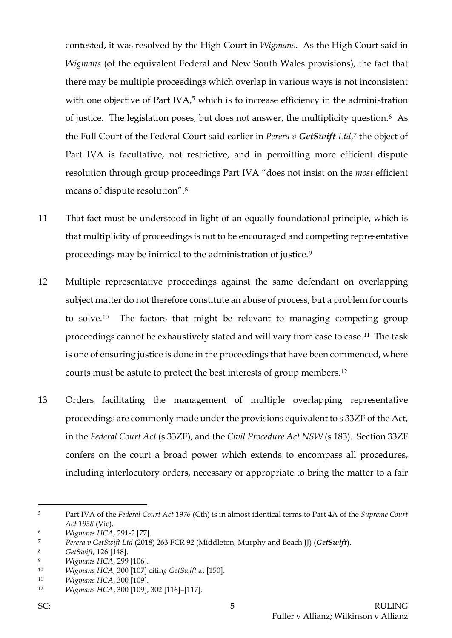contested, it was resolved by the High Court in *Wigmans*. As the High Court said in *Wigmans* (of the equivalent Federal and New South Wales provisions), the fact that there may be multiple proceedings which overlap in various ways is not inconsistent with one objective of Part IVA,<sup>[5](#page-5-0)</sup> which is to increase efficiency in the administration of justice. The legislation poses, but does not answer, the multiplicity question.[6](#page-5-1) As the Full Court of the Federal Court said earlier in *Perera v GetSwift Ltd*,[7](#page-5-2) the object of Part IVA is facultative, not restrictive, and in permitting more efficient dispute resolution through group proceedings Part IVA "does not insist on the *most* efficient means of dispute resolution".[8](#page-5-3)

- 11 That fact must be understood in light of an equally foundational principle, which is that multiplicity of proceedings is not to be encouraged and competing representative proceedings may be inimical to the administration of justice.[9](#page-5-4)
- 12 Multiple representative proceedings against the same defendant on overlapping subject matter do not therefore constitute an abuse of process, but a problem for courts to solve.[10](#page-5-5) The factors that might be relevant to managing competing group proceedings cannot be exhaustively stated and will vary from case to case.[11](#page-5-6) The task is one of ensuring justice is done in the proceedings that have been commenced, where courts must be astute to protect the best interests of group members.[12](#page-5-7)
- 13 Orders facilitating the management of multiple overlapping representative proceedings are commonly made under the provisions equivalent to s 33ZF of the Act, in the *Federal Court Act* (s 33ZF), and the *Civil Procedure Act NSW* (s 183). Section 33ZF confers on the court a broad power which extends to encompass all procedures, including interlocutory orders, necessary or appropriate to bring the matter to a fair

<span id="page-5-0"></span><sup>5</sup> Part IVA of the *Federal Court Act 1976* (Cth) is in almost identical terms to Part 4A of the *Supreme Court Act 1958* (Vic).

<span id="page-5-1"></span><sup>6</sup> *Wigmans HCA*, 291-2 [77].

<span id="page-5-2"></span><sup>7</sup> *Perera v GetSwift Ltd* (2018) 263 FCR 92 (Middleton, Murphy and Beach JJ) (*GetSwift*).

<span id="page-5-3"></span><sup>8</sup> *GetSwift,* 126 [148].

<span id="page-5-4"></span><sup>9</sup> *Wigmans HCA*, 299 [106].

<span id="page-5-5"></span><sup>10</sup> *Wigmans HCA,* 300 [107] citin*g GetSwift* at [150].

<span id="page-5-6"></span><sup>11</sup> *Wigmans HCA*, 300 [109].

<span id="page-5-7"></span><sup>12</sup> *Wigmans HCA*, 300 [109], 302 [116]–[117].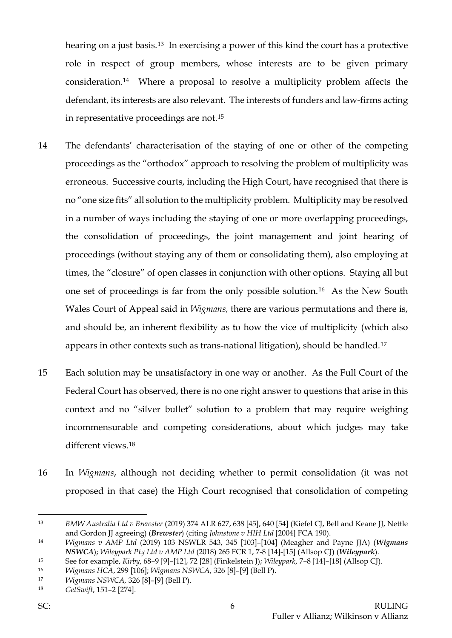hearing on a just basis.[13](#page-6-0) In exercising a power of this kind the court has a protective role in respect of group members, whose interests are to be given primary consideration.[14](#page-6-1) Where a proposal to resolve a multiplicity problem affects the defendant, its interests are also relevant. The interests of funders and law-firms acting in representative proceedings are not.[15](#page-6-2)

- 14 The defendants' characterisation of the staying of one or other of the competing proceedings as the "orthodox" approach to resolving the problem of multiplicity was erroneous. Successive courts, including the High Court, have recognised that there is no "one size fits" all solution to the multiplicity problem. Multiplicity may be resolved in a number of ways including the staying of one or more overlapping proceedings, the consolidation of proceedings, the joint management and joint hearing of proceedings (without staying any of them or consolidating them), also employing at times, the "closure" of open classes in conjunction with other options. Staying all but one set of proceedings is far from the only possible solution.[16](#page-6-3) As the New South Wales Court of Appeal said in *Wigmans,* there are various permutations and there is, and should be, an inherent flexibility as to how the vice of multiplicity (which also appears in other contexts such as trans-national litigation), should be handled.[17](#page-6-4)
- 15 Each solution may be unsatisfactory in one way or another. As the Full Court of the Federal Court has observed, there is no one right answer to questions that arise in this context and no "silver bullet" solution to a problem that may require weighing incommensurable and competing considerations, about which judges may take different views.[18](#page-6-5)
- 16 In *Wigmans*, although not deciding whether to permit consolidation (it was not proposed in that case) the High Court recognised that consolidation of competing

<span id="page-6-0"></span><sup>13</sup> *BMW Australia Ltd v Brewster* (2019) 374 ALR 627, 638 [45], 640 [54] (Kiefel CJ, Bell and Keane JJ, Nettle and Gordon JJ agreeing) (*Brewster*) (citing *Johnstone v HIH Ltd* [2004] FCA 190).

<span id="page-6-1"></span><sup>14</sup> *Wigmans v AMP Ltd* (2019) 103 NSWLR 543, 345 [103]–[104] (Meagher and Payne JJA) (*Wigmans NSWCA*); *Wileypark Pty Ltd v AMP Ltd* (2018) 265 FCR 1, 7-8 [14]-[15] (Allsop CJ) (*Wileypark*).

<span id="page-6-2"></span><sup>15</sup> See for example, *Kirby*, 68–9 [9]–[12], 72 [28] (Finkelstein J); *Wileypark*, 7–8 [14]–[18] (Allsop CJ).

<span id="page-6-3"></span><sup>16</sup> *Wigmans HCA*, 299 [106]; *Wigmans NSWCA*, 326 [8]–[9] (Bell P).

<span id="page-6-4"></span><sup>17</sup> *Wigmans NSWCA,* 326 [8]–[9] (Bell P).

<span id="page-6-5"></span><sup>18</sup> *GetSwift*, 151–2 [274].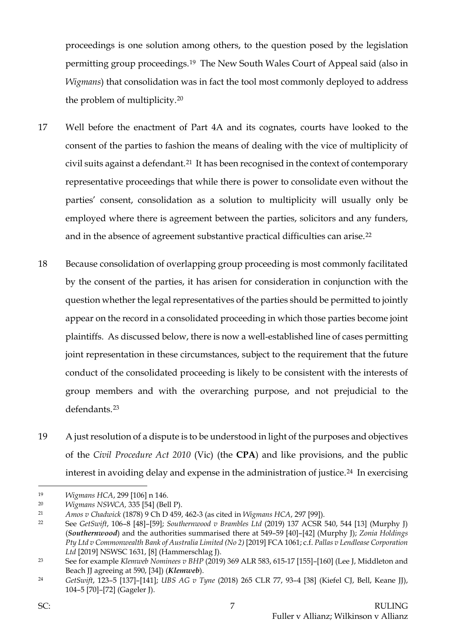proceedings is one solution among others, to the question posed by the legislation permitting group proceedings.[19](#page-7-0) The New South Wales Court of Appeal said (also in *Wigmans*) that consolidation was in fact the tool most commonly deployed to address the problem of multiplicity.[20](#page-7-1)

- 17 Well before the enactment of Part 4A and its cognates, courts have looked to the consent of the parties to fashion the means of dealing with the vice of multiplicity of civil suits against a defendant.[21](#page-7-2) It has been recognised in the context of contemporary representative proceedings that while there is power to consolidate even without the parties' consent, consolidation as a solution to multiplicity will usually only be employed where there is agreement between the parties, solicitors and any funders, and in the absence of agreement substantive practical difficulties can arise.[22](#page-7-3)
- 18 Because consolidation of overlapping group proceeding is most commonly facilitated by the consent of the parties, it has arisen for consideration in conjunction with the question whether the legal representatives of the parties should be permitted to jointly appear on the record in a consolidated proceeding in which those parties become joint plaintiffs. As discussed below, there is now a well-established line of cases permitting joint representation in these circumstances, subject to the requirement that the future conduct of the consolidated proceeding is likely to be consistent with the interests of group members and with the overarching purpose, and not prejudicial to the defendants.[23](#page-7-4)
- 19 A just resolution of a dispute is to be understood in light of the purposes and objectives of the *Civil Procedure Act 2010* (Vic) (the **CPA**) and like provisions, and the public interest in avoiding delay and expense in the administration of justice.<sup>[24](#page-7-5)</sup> In exercising

<span id="page-7-0"></span><sup>19</sup> *Wigmans HCA*, 299 [106] n 146.

<span id="page-7-1"></span><sup>20</sup> *Wigmans NSWCA,* 335 [54] (Bell P).

<span id="page-7-2"></span><sup>21</sup> *Amos v Chadwick* (1878) 9 Ch D 459, 462-3 (as cited in *Wigmans HCA*, 297 [99]).

<span id="page-7-3"></span><sup>22</sup> See *GetSwift*, 106–8 [48]–[59]; *Southernwood v Brambles Ltd* (2019) 137 ACSR 540, 544 [13] (Murphy J) (*Southernwood*) and the authorities summarised there at 549–59 [40]–[42] (Murphy J); *Zonia Holdings Pty Ltd v Commonwealth Bank of Australia Limited (No 2)* [2019] FCA 1061; c.f. *Pallas v Lendlease Corporation Ltd* [2019] NSWSC 1631, [8] (Hammerschlag J).

<span id="page-7-4"></span><sup>23</sup> See for example *Klemweb Nominees v BHP* (2019) 369 ALR 583, 615-17 [155]–[160] (Lee J, Middleton and Beach JJ agreeing at 590, [34]) (*Klemweb*).

<span id="page-7-5"></span><sup>24</sup> *GetSwift*, 123–5 [137]–[141]; *UBS AG v Tyne* (2018) 265 CLR 77, 93–4 [38] (Kiefel CJ, Bell, Keane JJ), 104–5 [70]–[72] (Gageler J).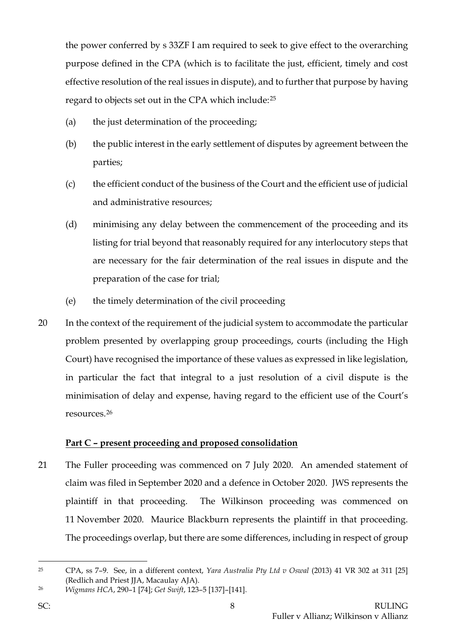the power conferred by s 33ZF I am required to seek to give effect to the overarching purpose defined in the CPA (which is to facilitate the just, efficient, timely and cost effective resolution of the real issues in dispute), and to further that purpose by having regard to objects set out in the CPA which include:[25](#page-8-0)

- (a) the just determination of the proceeding;
- (b) the public interest in the early settlement of disputes by agreement between the parties;
- (c) the efficient conduct of the business of the Court and the efficient use of judicial and administrative resources;
- (d) minimising any delay between the commencement of the proceeding and its listing for trial beyond that reasonably required for any interlocutory steps that are necessary for the fair determination of the real issues in dispute and the preparation of the case for trial;
- (e) the timely determination of the civil proceeding
- 20 In the context of the requirement of the judicial system to accommodate the particular problem presented by overlapping group proceedings, courts (including the High Court) have recognised the importance of these values as expressed in like legislation, in particular the fact that integral to a just resolution of a civil dispute is the minimisation of delay and expense, having regard to the efficient use of the Court's resources.[26](#page-8-1)

## **Part C – present proceeding and proposed consolidation**

21 The Fuller proceeding was commenced on 7 July 2020. An amended statement of claim was filed in September 2020 and a defence in October 2020. JWS represents the plaintiff in that proceeding. The Wilkinson proceeding was commenced on 11 November 2020. Maurice Blackburn represents the plaintiff in that proceeding. The proceedings overlap, but there are some differences, including in respect of group

<span id="page-8-0"></span><sup>25</sup> CPA, ss 7–9. See, in a different context, *Yara Australia Pty Ltd v Oswal* (2013) 41 VR 302 at 311 [25] (Redlich and Priest JJA, Macaulay AJA).

<span id="page-8-1"></span><sup>26</sup> *Wigmans HCA*, 290–1 [74]; *Get Swift*, 123–5 [137]–[141].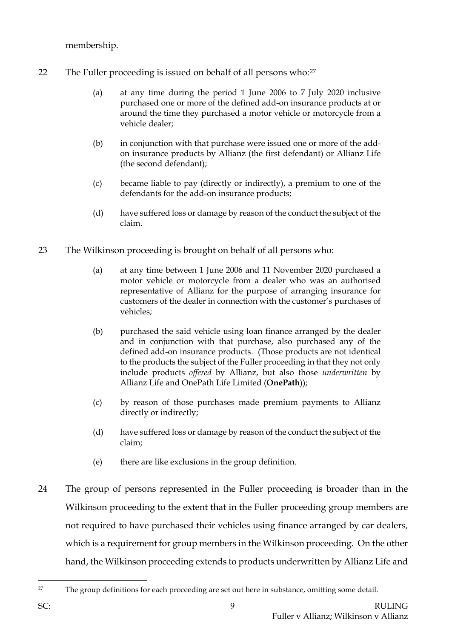membership.

- 22 The Fuller proceeding is issued on behalf of all persons who:<sup>[27](#page-9-0)</sup>
	- (a) at any time during the period 1 June 2006 to 7 July 2020 inclusive purchased one or more of the defined add-on insurance products at or around the time they purchased a motor vehicle or motorcycle from a vehicle dealer;
	- (b) in conjunction with that purchase were issued one or more of the addon insurance products by Allianz (the first defendant) or Allianz Life (the second defendant);
	- (c) became liable to pay (directly or indirectly), a premium to one of the defendants for the add-on insurance products;
	- (d) have suffered loss or damage by reason of the conduct the subject of the claim.
- 23 The Wilkinson proceeding is brought on behalf of all persons who:
	- (a) at any time between 1 June 2006 and 11 November 2020 purchased a motor vehicle or motorcycle from a dealer who was an authorised representative of Allianz for the purpose of arranging insurance for customers of the dealer in connection with the customer's purchases of vehicles;
	- (b) purchased the said vehicle using loan finance arranged by the dealer and in conjunction with that purchase, also purchased any of the defined add-on insurance products. (Those products are not identical to the products the subject of the Fuller proceeding in that they not only include products *offered* by Allianz, but also those *underwritten* by Allianz Life and OnePath Life Limited (**OnePath**));
	- (c) by reason of those purchases made premium payments to Allianz directly or indirectly;
	- (d) have suffered loss or damage by reason of the conduct the subject of the claim;
	- (e) there are like exclusions in the group definition.
- 24 The group of persons represented in the Fuller proceeding is broader than in the Wilkinson proceeding to the extent that in the Fuller proceeding group members are not required to have purchased their vehicles using finance arranged by car dealers, which is a requirement for group members in the Wilkinson proceeding. On the other hand, the Wilkinson proceeding extends to products underwritten by Allianz Life and

<span id="page-9-0"></span><sup>&</sup>lt;sup>27</sup> The group definitions for each proceeding are set out here in substance, omitting some detail.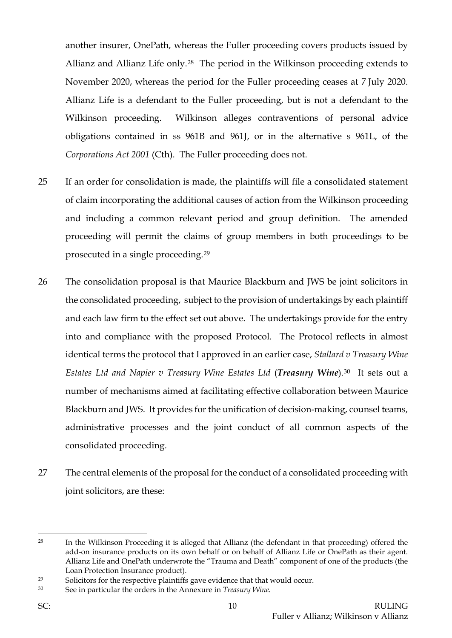another insurer, OnePath, whereas the Fuller proceeding covers products issued by Allianz and Allianz Life only.[28](#page-10-0) The period in the Wilkinson proceeding extends to November 2020, whereas the period for the Fuller proceeding ceases at 7 July 2020. Allianz Life is a defendant to the Fuller proceeding, but is not a defendant to the Wilkinson proceeding. Wilkinson alleges contraventions of personal advice obligations contained in ss 961B and 961J, or in the alternative s 961L, of the *Corporations Act 2001* (Cth). The Fuller proceeding does not.

- 25 If an order for consolidation is made, the plaintiffs will file a consolidated statement of claim incorporating the additional causes of action from the Wilkinson proceeding and including a common relevant period and group definition. The amended proceeding will permit the claims of group members in both proceedings to be prosecuted in a single proceeding.[29](#page-10-1)
- 26 The consolidation proposal is that Maurice Blackburn and JWS be joint solicitors in the consolidated proceeding, subject to the provision of undertakings by each plaintiff and each law firm to the effect set out above. The undertakings provide for the entry into and compliance with the proposed Protocol. The Protocol reflects in almost identical terms the protocol that I approved in an earlier case, *Stallard v Treasury Wine Estates Ltd and Napier v Treasury Wine Estates Ltd* (*Treasury Wine*).[30](#page-10-2) It sets out a number of mechanisms aimed at facilitating effective collaboration between Maurice Blackburn and JWS. It provides for the unification of decision-making, counsel teams, administrative processes and the joint conduct of all common aspects of the consolidated proceeding.
- 27 The central elements of the proposal for the conduct of a consolidated proceeding with joint solicitors, are these:

<span id="page-10-0"></span><sup>28</sup> In the Wilkinson Proceeding it is alleged that Allianz (the defendant in that proceeding) offered the add-on insurance products on its own behalf or on behalf of Allianz Life or OnePath as their agent. Allianz Life and OnePath underwrote the "Trauma and Death" component of one of the products (the Loan Protection Insurance product).

<span id="page-10-1"></span><sup>&</sup>lt;sup>29</sup> Solicitors for the respective plaintiffs gave evidence that that would occur.

<span id="page-10-2"></span><sup>30</sup> See in particular the orders in the Annexure in *Treasury Wine.*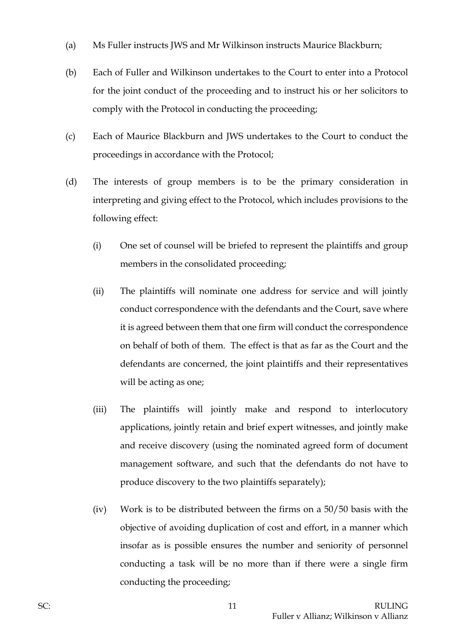- (a) Ms Fuller instructs JWS and Mr Wilkinson instructs Maurice Blackburn;
- (b) Each of Fuller and Wilkinson undertakes to the Court to enter into a Protocol for the joint conduct of the proceeding and to instruct his or her solicitors to comply with the Protocol in conducting the proceeding;
- (c) Each of Maurice Blackburn and JWS undertakes to the Court to conduct the proceedings in accordance with the Protocol;
- (d) The interests of group members is to be the primary consideration in interpreting and giving effect to the Protocol, which includes provisions to the following effect:
	- (i) One set of counsel will be briefed to represent the plaintiffs and group members in the consolidated proceeding;
	- (ii) The plaintiffs will nominate one address for service and will jointly conduct correspondence with the defendants and the Court, save where it is agreed between them that one firm will conduct the correspondence on behalf of both of them. The effect is that as far as the Court and the defendants are concerned, the joint plaintiffs and their representatives will be acting as one;
	- (iii) The plaintiffs will jointly make and respond to interlocutory applications, jointly retain and brief expert witnesses, and jointly make and receive discovery (using the nominated agreed form of document management software, and such that the defendants do not have to produce discovery to the two plaintiffs separately);
	- (iv) Work is to be distributed between the firms on a 50/50 basis with the objective of avoiding duplication of cost and effort, in a manner which insofar as is possible ensures the number and seniority of personnel conducting a task will be no more than if there were a single firm conducting the proceeding;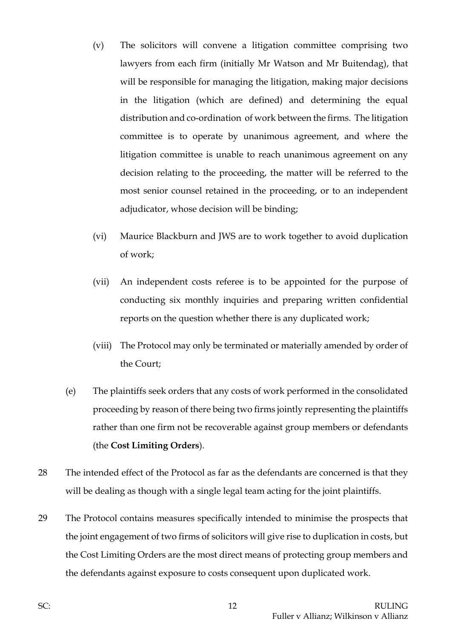- (v) The solicitors will convene a litigation committee comprising two lawyers from each firm (initially Mr Watson and Mr Buitendag), that will be responsible for managing the litigation, making major decisions in the litigation (which are defined) and determining the equal distribution and co-ordination of work between the firms. The litigation committee is to operate by unanimous agreement, and where the litigation committee is unable to reach unanimous agreement on any decision relating to the proceeding, the matter will be referred to the most senior counsel retained in the proceeding, or to an independent adjudicator, whose decision will be binding;
- (vi) Maurice Blackburn and JWS are to work together to avoid duplication of work;
- (vii) An independent costs referee is to be appointed for the purpose of conducting six monthly inquiries and preparing written confidential reports on the question whether there is any duplicated work;
- (viii) The Protocol may only be terminated or materially amended by order of the Court;
- (e) The plaintiffs seek orders that any costs of work performed in the consolidated proceeding by reason of there being two firms jointly representing the plaintiffs rather than one firm not be recoverable against group members or defendants (the **Cost Limiting Orders**).
- 28 The intended effect of the Protocol as far as the defendants are concerned is that they will be dealing as though with a single legal team acting for the joint plaintiffs.
- 29 The Protocol contains measures specifically intended to minimise the prospects that the joint engagement of two firms of solicitors will give rise to duplication in costs, but the Cost Limiting Orders are the most direct means of protecting group members and the defendants against exposure to costs consequent upon duplicated work.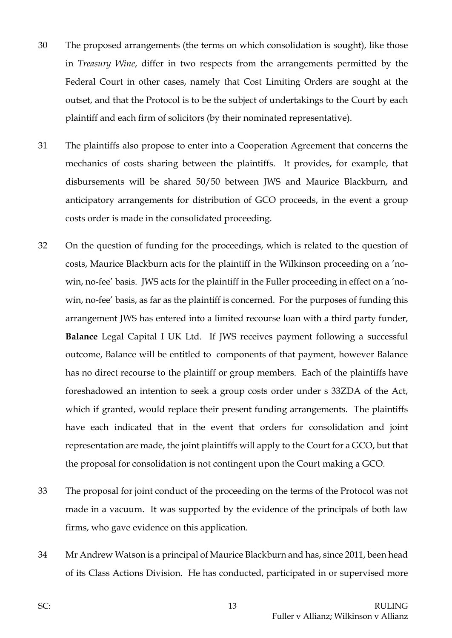- 30 The proposed arrangements (the terms on which consolidation is sought), like those in *Treasury Wine*, differ in two respects from the arrangements permitted by the Federal Court in other cases, namely that Cost Limiting Orders are sought at the outset, and that the Protocol is to be the subject of undertakings to the Court by each plaintiff and each firm of solicitors (by their nominated representative).
- 31 The plaintiffs also propose to enter into a Cooperation Agreement that concerns the mechanics of costs sharing between the plaintiffs. It provides, for example, that disbursements will be shared 50/50 between JWS and Maurice Blackburn, and anticipatory arrangements for distribution of GCO proceeds, in the event a group costs order is made in the consolidated proceeding.
- 32 On the question of funding for the proceedings, which is related to the question of costs, Maurice Blackburn acts for the plaintiff in the Wilkinson proceeding on a 'nowin, no-fee' basis. JWS acts for the plaintiff in the Fuller proceeding in effect on a 'nowin, no-fee' basis, as far as the plaintiff is concerned. For the purposes of funding this arrangement JWS has entered into a limited recourse loan with a third party funder, **Balance** Legal Capital I UK Ltd. If JWS receives payment following a successful outcome, Balance will be entitled to components of that payment, however Balance has no direct recourse to the plaintiff or group members. Each of the plaintiffs have foreshadowed an intention to seek a group costs order under s 33ZDA of the Act, which if granted, would replace their present funding arrangements. The plaintiffs have each indicated that in the event that orders for consolidation and joint representation are made, the joint plaintiffs will apply to the Court for a GCO, but that the proposal for consolidation is not contingent upon the Court making a GCO.
- 33 The proposal for joint conduct of the proceeding on the terms of the Protocol was not made in a vacuum. It was supported by the evidence of the principals of both law firms, who gave evidence on this application.
- 34 Mr Andrew Watson is a principal of Maurice Blackburn and has, since 2011, been head of its Class Actions Division. He has conducted, participated in or supervised more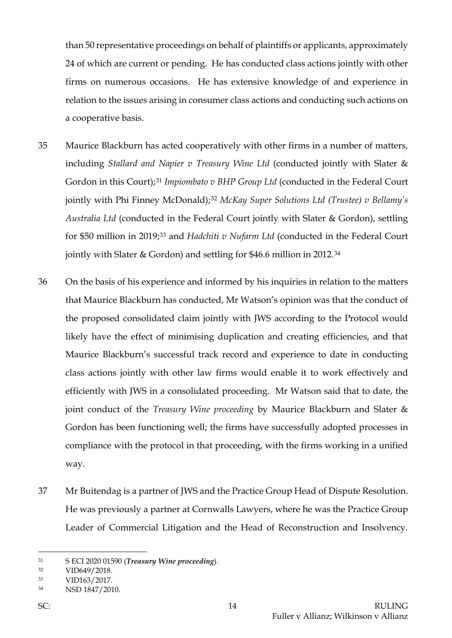than 50 representative proceedings on behalf of plaintiffs or applicants, approximately 24 of which are current or pending. He has conducted class actions jointly with other firms on numerous occasions. He has extensive knowledge of and experience in relation to the issues arising in consumer class actions and conducting such actions on a cooperative basis.

- 35 Maurice Blackburn has acted cooperatively with other firms in a number of matters, including *Stallard and Napier v Treasury Wine Ltd* (conducted jointly with Slater & Gordon in this Court);[31](#page-14-0) *Impiombato v BHP Group Ltd* (conducted in the Federal Court jointly with Phi Finney McDonald);[32](#page-14-1) *McKay Super Solutions Ltd (Trustee) v Bellamy's Australia Ltd* (conducted in the Federal Court jointly with Slater & Gordon), settling for \$50 million in 2019;[33](#page-14-2) and *Hadchiti v Nufarm Ltd* (conducted in the Federal Court jointly with Slater & Gordon) and settling for \$46.6 million in 2012.[34](#page-14-3)
- 36 On the basis of his experience and informed by his inquiries in relation to the matters that Maurice Blackburn has conducted, Mr Watson's opinion was that the conduct of the proposed consolidated claim jointly with JWS according to the Protocol would likely have the effect of minimising duplication and creating efficiencies, and that Maurice Blackburn's successful track record and experience to date in conducting class actions jointly with other law firms would enable it to work effectively and efficiently with JWS in a consolidated proceeding. Mr Watson said that to date, the joint conduct of the *Treasury Wine proceeding* by Maurice Blackburn and Slater & Gordon has been functioning well; the firms have successfully adopted processes in compliance with the protocol in that proceeding, with the firms working in a unified way.
- 37 Mr Buitendag is a partner of JWS and the Practice Group Head of Dispute Resolution. He was previously a partner at Cornwalls Lawyers, where he was the Practice Group Leader of Commercial Litigation and the Head of Reconstruction and Insolvency.

<span id="page-14-0"></span><sup>31</sup> S ECI 2020 01590 (*Treasury Wine proceeding*).

<span id="page-14-1"></span><sup>32</sup> VID649/2018.

<span id="page-14-2"></span><sup>33</sup> VID163/2017.

<span id="page-14-3"></span><sup>34</sup> NSD 1847/2010.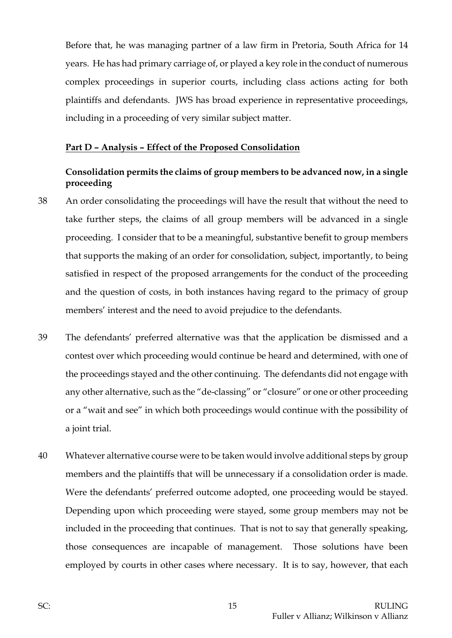Before that, he was managing partner of a law firm in Pretoria, South Africa for 14 years. He has had primary carriage of, or played a key role in the conduct of numerous complex proceedings in superior courts, including class actions acting for both plaintiffs and defendants. JWS has broad experience in representative proceedings, including in a proceeding of very similar subject matter.

#### **Part D – Analysis – Effect of the Proposed Consolidation**

### **Consolidation permits the claims of group members to be advanced now, in a single proceeding**

- 38 An order consolidating the proceedings will have the result that without the need to take further steps, the claims of all group members will be advanced in a single proceeding. I consider that to be a meaningful, substantive benefit to group members that supports the making of an order for consolidation, subject, importantly, to being satisfied in respect of the proposed arrangements for the conduct of the proceeding and the question of costs, in both instances having regard to the primacy of group members' interest and the need to avoid prejudice to the defendants.
- 39 The defendants' preferred alternative was that the application be dismissed and a contest over which proceeding would continue be heard and determined, with one of the proceedings stayed and the other continuing. The defendants did not engage with any other alternative, such as the "de-classing" or "closure" or one or other proceeding or a "wait and see" in which both proceedings would continue with the possibility of a joint trial.
- 40 Whatever alternative course were to be taken would involve additional steps by group members and the plaintiffs that will be unnecessary if a consolidation order is made. Were the defendants' preferred outcome adopted, one proceeding would be stayed. Depending upon which proceeding were stayed, some group members may not be included in the proceeding that continues. That is not to say that generally speaking, those consequences are incapable of management. Those solutions have been employed by courts in other cases where necessary. It is to say, however, that each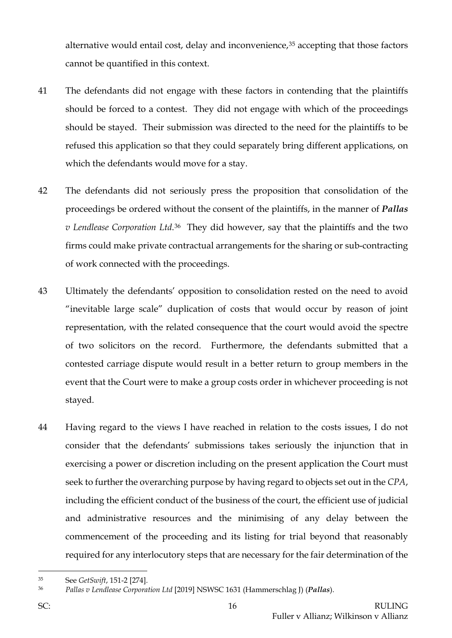alternative would entail cost, delay and inconvenience,<sup>[35](#page-16-0)</sup> accepting that those factors cannot be quantified in this context.

- 41 The defendants did not engage with these factors in contending that the plaintiffs should be forced to a contest. They did not engage with which of the proceedings should be stayed. Their submission was directed to the need for the plaintiffs to be refused this application so that they could separately bring different applications, on which the defendants would move for a stay.
- 42 The defendants did not seriously press the proposition that consolidation of the proceedings be ordered without the consent of the plaintiffs, in the manner of *Pallas v Lendlease Corporation Ltd*.[36](#page-16-1)They did however, say that the plaintiffs and the two firms could make private contractual arrangements for the sharing or sub-contracting of work connected with the proceedings.
- 43 Ultimately the defendants' opposition to consolidation rested on the need to avoid "inevitable large scale" duplication of costs that would occur by reason of joint representation, with the related consequence that the court would avoid the spectre of two solicitors on the record. Furthermore, the defendants submitted that a contested carriage dispute would result in a better return to group members in the event that the Court were to make a group costs order in whichever proceeding is not stayed.
- 44 Having regard to the views I have reached in relation to the costs issues, I do not consider that the defendants' submissions takes seriously the injunction that in exercising a power or discretion including on the present application the Court must seek to further the overarching purpose by having regard to objects set out in the *CPA*, including the efficient conduct of the business of the court, the efficient use of judicial and administrative resources and the minimising of any delay between the commencement of the proceeding and its listing for trial beyond that reasonably required for any interlocutory steps that are necessary for the fair determination of the

<span id="page-16-0"></span><sup>35</sup> See *GetSwift*, 151-2 [274].

<span id="page-16-1"></span><sup>36</sup> *Pallas v Lendlease Corporation Ltd* [2019] NSWSC 1631 (Hammerschlag J) (*Pallas*).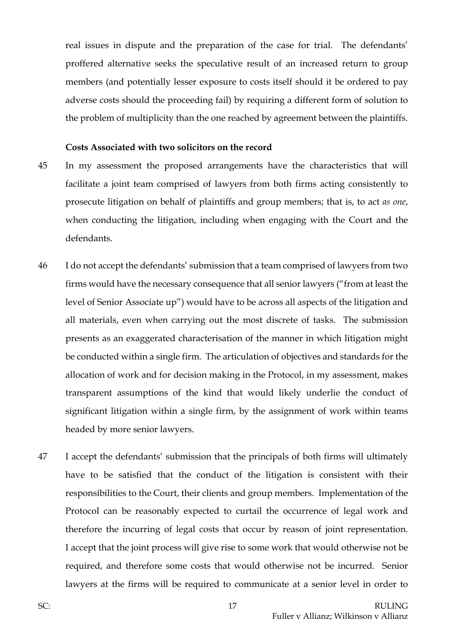real issues in dispute and the preparation of the case for trial. The defendants' proffered alternative seeks the speculative result of an increased return to group members (and potentially lesser exposure to costs itself should it be ordered to pay adverse costs should the proceeding fail) by requiring a different form of solution to the problem of multiplicity than the one reached by agreement between the plaintiffs.

#### **Costs Associated with two solicitors on the record**

- 45 In my assessment the proposed arrangements have the characteristics that will facilitate a joint team comprised of lawyers from both firms acting consistently to prosecute litigation on behalf of plaintiffs and group members; that is, to act *as one*, when conducting the litigation, including when engaging with the Court and the defendants.
- 46 I do not accept the defendants' submission that a team comprised of lawyers from two firms would have the necessary consequence that all senior lawyers ("from at least the level of Senior Associate up") would have to be across all aspects of the litigation and all materials, even when carrying out the most discrete of tasks. The submission presents as an exaggerated characterisation of the manner in which litigation might be conducted within a single firm. The articulation of objectives and standards for the allocation of work and for decision making in the Protocol, in my assessment, makes transparent assumptions of the kind that would likely underlie the conduct of significant litigation within a single firm, by the assignment of work within teams headed by more senior lawyers.
- 47 I accept the defendants' submission that the principals of both firms will ultimately have to be satisfied that the conduct of the litigation is consistent with their responsibilities to the Court, their clients and group members. Implementation of the Protocol can be reasonably expected to curtail the occurrence of legal work and therefore the incurring of legal costs that occur by reason of joint representation. I accept that the joint process will give rise to some work that would otherwise not be required, and therefore some costs that would otherwise not be incurred. Senior lawyers at the firms will be required to communicate at a senior level in order to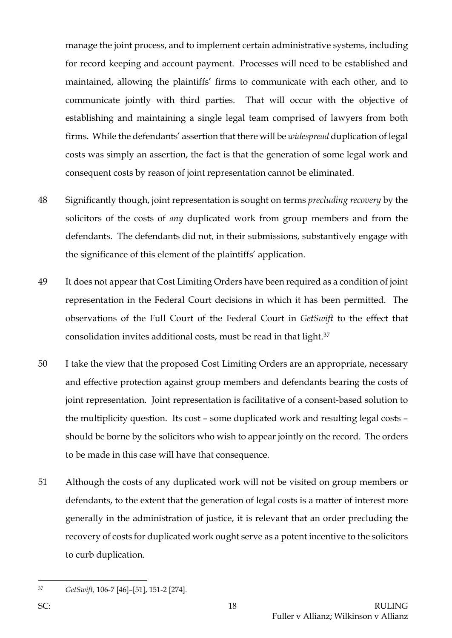manage the joint process, and to implement certain administrative systems, including for record keeping and account payment. Processes will need to be established and maintained, allowing the plaintiffs' firms to communicate with each other, and to communicate jointly with third parties. That will occur with the objective of establishing and maintaining a single legal team comprised of lawyers from both firms. While the defendants' assertion that there will be *widespread* duplication of legal costs was simply an assertion, the fact is that the generation of some legal work and consequent costs by reason of joint representation cannot be eliminated.

- 48 Significantly though, joint representation is sought on terms *precluding recovery* by the solicitors of the costs of *any* duplicated work from group members and from the defendants. The defendants did not, in their submissions, substantively engage with the significance of this element of the plaintiffs' application.
- 49 It does not appear that Cost Limiting Orders have been required as a condition of joint representation in the Federal Court decisions in which it has been permitted. The observations of the Full Court of the Federal Court in *GetSwift* to the effect that consolidation invites additional costs, must be read in that light.[37](#page-18-0)
- 50 I take the view that the proposed Cost Limiting Orders are an appropriate, necessary and effective protection against group members and defendants bearing the costs of joint representation. Joint representation is facilitative of a consent-based solution to the multiplicity question. Its cost – some duplicated work and resulting legal costs – should be borne by the solicitors who wish to appear jointly on the record. The orders to be made in this case will have that consequence.
- 51 Although the costs of any duplicated work will not be visited on group members or defendants, to the extent that the generation of legal costs is a matter of interest more generally in the administration of justice, it is relevant that an order precluding the recovery of costs for duplicated work ought serve as a potent incentive to the solicitors to curb duplication.

<span id="page-18-0"></span><sup>37</sup> *GetSwift,* 106-7 [46]–[51], 151-2 [274].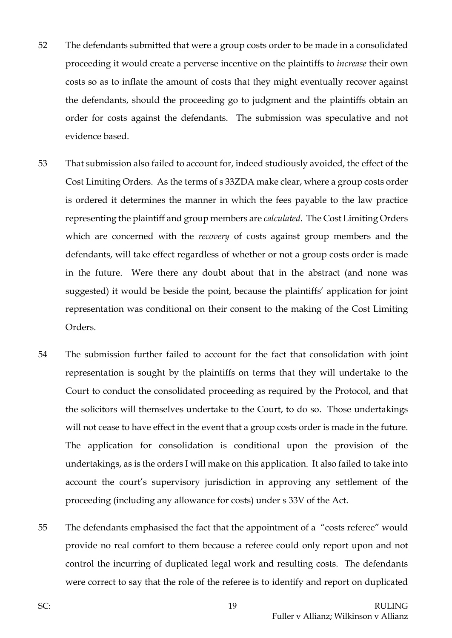- 52 The defendants submitted that were a group costs order to be made in a consolidated proceeding it would create a perverse incentive on the plaintiffs to *increase* their own costs so as to inflate the amount of costs that they might eventually recover against the defendants, should the proceeding go to judgment and the plaintiffs obtain an order for costs against the defendants. The submission was speculative and not evidence based.
- 53 That submission also failed to account for, indeed studiously avoided, the effect of the Cost Limiting Orders. As the terms of s 33ZDA make clear, where a group costs order is ordered it determines the manner in which the fees payable to the law practice representing the plaintiff and group members are *calculated*. The Cost Limiting Orders which are concerned with the *recovery* of costs against group members and the defendants, will take effect regardless of whether or not a group costs order is made in the future. Were there any doubt about that in the abstract (and none was suggested) it would be beside the point, because the plaintiffs' application for joint representation was conditional on their consent to the making of the Cost Limiting Orders.
- 54 The submission further failed to account for the fact that consolidation with joint representation is sought by the plaintiffs on terms that they will undertake to the Court to conduct the consolidated proceeding as required by the Protocol, and that the solicitors will themselves undertake to the Court, to do so. Those undertakings will not cease to have effect in the event that a group costs order is made in the future. The application for consolidation is conditional upon the provision of the undertakings, as is the orders I will make on this application. It also failed to take into account the court's supervisory jurisdiction in approving any settlement of the proceeding (including any allowance for costs) under s 33V of the Act.
- 55 The defendants emphasised the fact that the appointment of a "costs referee" would provide no real comfort to them because a referee could only report upon and not control the incurring of duplicated legal work and resulting costs. The defendants were correct to say that the role of the referee is to identify and report on duplicated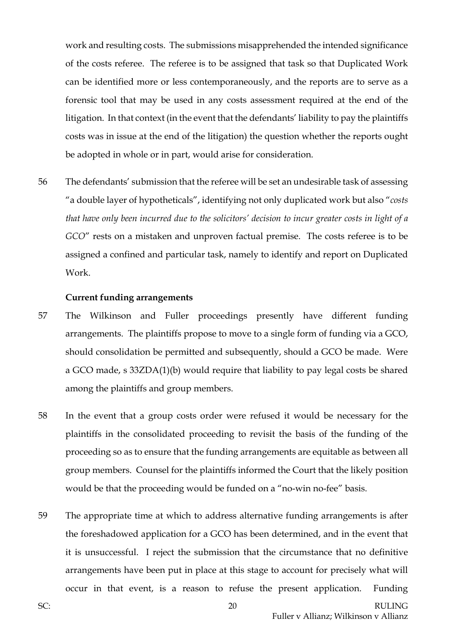work and resulting costs. The submissions misapprehended the intended significance of the costs referee. The referee is to be assigned that task so that Duplicated Work can be identified more or less contemporaneously, and the reports are to serve as a forensic tool that may be used in any costs assessment required at the end of the litigation. In that context (in the event that the defendants' liability to pay the plaintiffs costs was in issue at the end of the litigation) the question whether the reports ought be adopted in whole or in part, would arise for consideration.

56 The defendants' submission that the referee will be set an undesirable task of assessing "a double layer of hypotheticals", identifying not only duplicated work but also "*costs that have only been incurred due to the solicitors' decision to incur greater costs in light of a GCO*" rests on a mistaken and unproven factual premise. The costs referee is to be assigned a confined and particular task, namely to identify and report on Duplicated Work.

#### **Current funding arrangements**

- 57 The Wilkinson and Fuller proceedings presently have different funding arrangements. The plaintiffs propose to move to a single form of funding via a GCO, should consolidation be permitted and subsequently, should a GCO be made. Were a GCO made, s 33ZDA(1)(b) would require that liability to pay legal costs be shared among the plaintiffs and group members.
- 58 In the event that a group costs order were refused it would be necessary for the plaintiffs in the consolidated proceeding to revisit the basis of the funding of the proceeding so as to ensure that the funding arrangements are equitable as between all group members. Counsel for the plaintiffs informed the Court that the likely position would be that the proceeding would be funded on a "no-win no-fee" basis.
- 59 The appropriate time at which to address alternative funding arrangements is after the foreshadowed application for a GCO has been determined, and in the event that it is unsuccessful. I reject the submission that the circumstance that no definitive arrangements have been put in place at this stage to account for precisely what will occur in that event, is a reason to refuse the present application. Funding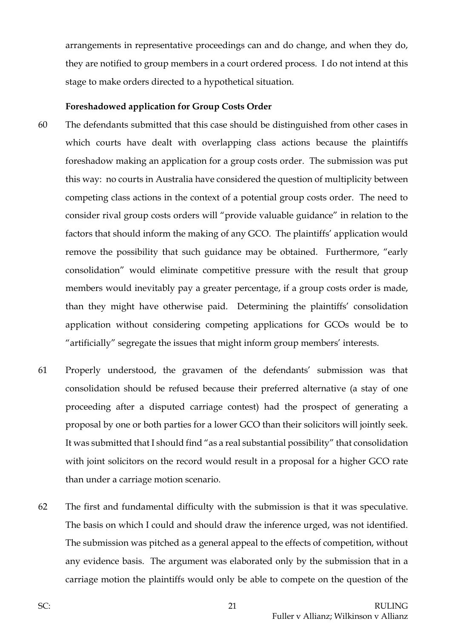arrangements in representative proceedings can and do change, and when they do, they are notified to group members in a court ordered process. I do not intend at this stage to make orders directed to a hypothetical situation.

#### **Foreshadowed application for Group Costs Order**

- 60 The defendants submitted that this case should be distinguished from other cases in which courts have dealt with overlapping class actions because the plaintiffs foreshadow making an application for a group costs order. The submission was put this way: no courts in Australia have considered the question of multiplicity between competing class actions in the context of a potential group costs order. The need to consider rival group costs orders will "provide valuable guidance" in relation to the factors that should inform the making of any GCO. The plaintiffs' application would remove the possibility that such guidance may be obtained. Furthermore, "early consolidation" would eliminate competitive pressure with the result that group members would inevitably pay a greater percentage, if a group costs order is made, than they might have otherwise paid. Determining the plaintiffs' consolidation application without considering competing applications for GCOs would be to "artificially" segregate the issues that might inform group members' interests.
- 61 Properly understood, the gravamen of the defendants' submission was that consolidation should be refused because their preferred alternative (a stay of one proceeding after a disputed carriage contest) had the prospect of generating a proposal by one or both parties for a lower GCO than their solicitors will jointly seek. It was submitted that I should find "as a real substantial possibility" that consolidation with joint solicitors on the record would result in a proposal for a higher GCO rate than under a carriage motion scenario.
- 62 The first and fundamental difficulty with the submission is that it was speculative. The basis on which I could and should draw the inference urged, was not identified. The submission was pitched as a general appeal to the effects of competition, without any evidence basis. The argument was elaborated only by the submission that in a carriage motion the plaintiffs would only be able to compete on the question of the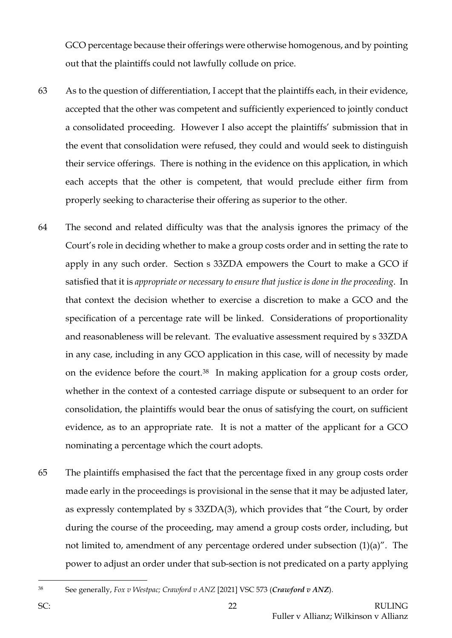GCO percentage because their offerings were otherwise homogenous, and by pointing out that the plaintiffs could not lawfully collude on price.

- 63 As to the question of differentiation, I accept that the plaintiffs each, in their evidence, accepted that the other was competent and sufficiently experienced to jointly conduct a consolidated proceeding. However I also accept the plaintiffs' submission that in the event that consolidation were refused, they could and would seek to distinguish their service offerings. There is nothing in the evidence on this application, in which each accepts that the other is competent, that would preclude either firm from properly seeking to characterise their offering as superior to the other.
- 64 The second and related difficulty was that the analysis ignores the primacy of the Court's role in deciding whether to make a group costs order and in setting the rate to apply in any such order. Section s 33ZDA empowers the Court to make a GCO if satisfied that it is *appropriate or necessary to ensure that justice is done in the proceeding*. In that context the decision whether to exercise a discretion to make a GCO and the specification of a percentage rate will be linked. Considerations of proportionality and reasonableness will be relevant. The evaluative assessment required by s 33ZDA in any case, including in any GCO application in this case, will of necessity by made on the evidence before the court.[38](#page-22-0) In making application for a group costs order, whether in the context of a contested carriage dispute or subsequent to an order for consolidation, the plaintiffs would bear the onus of satisfying the court, on sufficient evidence, as to an appropriate rate. It is not a matter of the applicant for a GCO nominating a percentage which the court adopts.
- 65 The plaintiffs emphasised the fact that the percentage fixed in any group costs order made early in the proceedings is provisional in the sense that it may be adjusted later, as expressly contemplated by s 33ZDA(3), which provides that "the Court, by order during the course of the proceeding, may amend a group costs order, including, but not limited to, amendment of any percentage ordered under subsection (1)(a)". The power to adjust an order under that sub-section is not predicated on a party applying

<span id="page-22-0"></span><sup>38</sup> See generally, *Fox v Westpac; Crawford v ANZ* [2021] VSC 573 (*Crawford v ANZ*).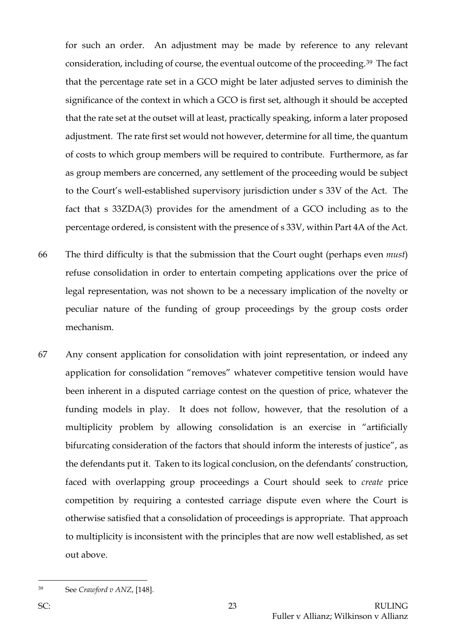for such an order. An adjustment may be made by reference to any relevant consideration, including of course, the eventual outcome of the proceeding.[39](#page-23-0) The fact that the percentage rate set in a GCO might be later adjusted serves to diminish the significance of the context in which a GCO is first set, although it should be accepted that the rate set at the outset will at least, practically speaking, inform a later proposed adjustment. The rate first set would not however, determine for all time, the quantum of costs to which group members will be required to contribute. Furthermore, as far as group members are concerned, any settlement of the proceeding would be subject to the Court's well-established supervisory jurisdiction under s 33V of the Act. The fact that s 33ZDA(3) provides for the amendment of a GCO including as to the percentage ordered, is consistent with the presence of s 33V, within Part 4A of the Act.

- 66 The third difficulty is that the submission that the Court ought (perhaps even *must*) refuse consolidation in order to entertain competing applications over the price of legal representation, was not shown to be a necessary implication of the novelty or peculiar nature of the funding of group proceedings by the group costs order mechanism.
- 67 Any consent application for consolidation with joint representation, or indeed any application for consolidation "removes" whatever competitive tension would have been inherent in a disputed carriage contest on the question of price, whatever the funding models in play. It does not follow, however, that the resolution of a multiplicity problem by allowing consolidation is an exercise in "artificially bifurcating consideration of the factors that should inform the interests of justice", as the defendants put it. Taken to its logical conclusion, on the defendants' construction, faced with overlapping group proceedings a Court should seek to *create* price competition by requiring a contested carriage dispute even where the Court is otherwise satisfied that a consolidation of proceedings is appropriate. That approach to multiplicity is inconsistent with the principles that are now well established, as set out above.

<span id="page-23-0"></span><sup>39</sup> See *Crawford v ANZ*, [148].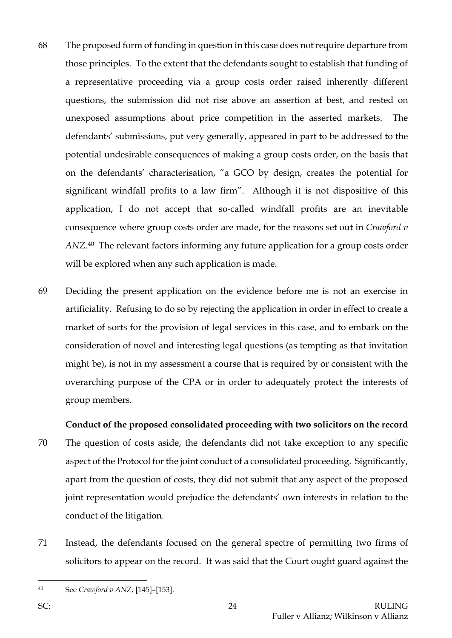- 68 The proposed form of funding in question in this case does not require departure from those principles. To the extent that the defendants sought to establish that funding of a representative proceeding via a group costs order raised inherently different questions, the submission did not rise above an assertion at best, and rested on unexposed assumptions about price competition in the asserted markets. The defendants' submissions, put very generally, appeared in part to be addressed to the potential undesirable consequences of making a group costs order, on the basis that on the defendants' characterisation, "a GCO by design, creates the potential for significant windfall profits to a law firm". Although it is not dispositive of this application, I do not accept that so-called windfall profits are an inevitable consequence where group costs order are made, for the reasons set out in *Crawford v ANZ*.[40](#page-24-0) The relevant factors informing any future application for a group costs order will be explored when any such application is made.
- 69 Deciding the present application on the evidence before me is not an exercise in artificiality. Refusing to do so by rejecting the application in order in effect to create a market of sorts for the provision of legal services in this case, and to embark on the consideration of novel and interesting legal questions (as tempting as that invitation might be), is not in my assessment a course that is required by or consistent with the overarching purpose of the CPA or in order to adequately protect the interests of group members.

#### **Conduct of the proposed consolidated proceeding with two solicitors on the record**

- 70 The question of costs aside, the defendants did not take exception to any specific aspect of the Protocol for the joint conduct of a consolidated proceeding. Significantly, apart from the question of costs, they did not submit that any aspect of the proposed joint representation would prejudice the defendants' own interests in relation to the conduct of the litigation.
- 71 Instead, the defendants focused on the general spectre of permitting two firms of solicitors to appear on the record. It was said that the Court ought guard against the

<span id="page-24-0"></span><sup>40</sup> See *Crawford v ANZ,* [145]–[153].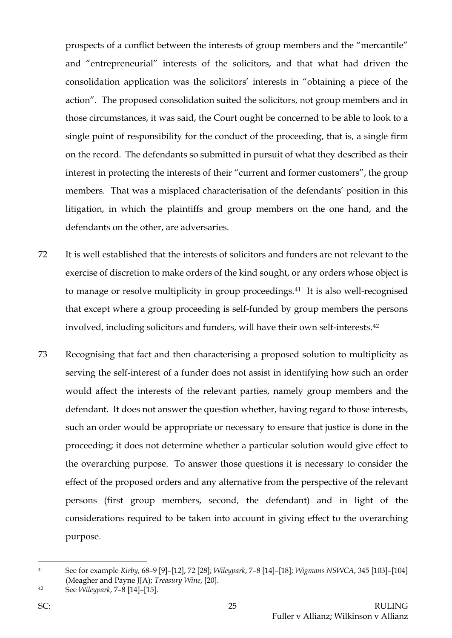prospects of a conflict between the interests of group members and the "mercantile" and "entrepreneurial" interests of the solicitors, and that what had driven the consolidation application was the solicitors' interests in "obtaining a piece of the action". The proposed consolidation suited the solicitors, not group members and in those circumstances, it was said, the Court ought be concerned to be able to look to a single point of responsibility for the conduct of the proceeding, that is, a single firm on the record. The defendants so submitted in pursuit of what they described as their interest in protecting the interests of their "current and former customers", the group members. That was a misplaced characterisation of the defendants' position in this litigation, in which the plaintiffs and group members on the one hand, and the defendants on the other, are adversaries.

- 72 It is well established that the interests of solicitors and funders are not relevant to the exercise of discretion to make orders of the kind sought, or any orders whose object is to manage or resolve multiplicity in group proceedings.<sup>41</sup> It is also well-recognised that except where a group proceeding is self-funded by group members the persons involved, including solicitors and funders, will have their own self-interests.[42](#page-25-1)
- 73 Recognising that fact and then characterising a proposed solution to multiplicity as serving the self-interest of a funder does not assist in identifying how such an order would affect the interests of the relevant parties, namely group members and the defendant. It does not answer the question whether, having regard to those interests, such an order would be appropriate or necessary to ensure that justice is done in the proceeding; it does not determine whether a particular solution would give effect to the overarching purpose. To answer those questions it is necessary to consider the effect of the proposed orders and any alternative from the perspective of the relevant persons (first group members, second, the defendant) and in light of the considerations required to be taken into account in giving effect to the overarching purpose.

<span id="page-25-1"></span><sup>42</sup> See *Wileypark*, 7–8 [14]–[15].

<span id="page-25-0"></span><sup>41</sup> See for example *Kirby*, 68–9 [9]–[12], 72 [28]; *Wileypark*, 7–8 [14]–[18]; *Wigmans NSWCA*, 345 [103]–[104] (Meagher and Payne JJA); *Treasury Wine*, [20].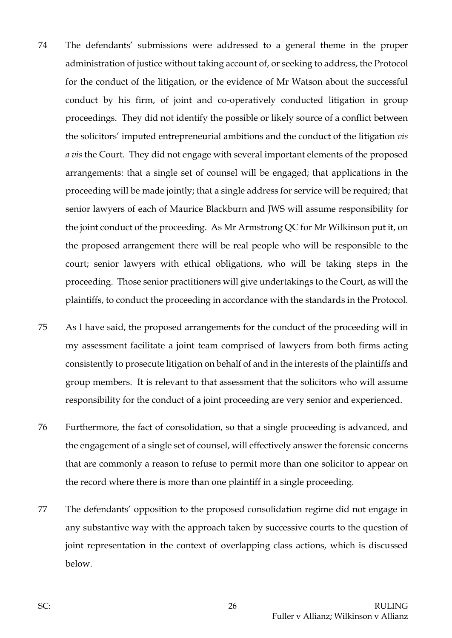- 74 The defendants' submissions were addressed to a general theme in the proper administration of justice without taking account of, or seeking to address, the Protocol for the conduct of the litigation, or the evidence of Mr Watson about the successful conduct by his firm, of joint and co-operatively conducted litigation in group proceedings. They did not identify the possible or likely source of a conflict between the solicitors' imputed entrepreneurial ambitions and the conduct of the litigation *vis a vis* the Court. They did not engage with several important elements of the proposed arrangements: that a single set of counsel will be engaged; that applications in the proceeding will be made jointly; that a single address for service will be required; that senior lawyers of each of Maurice Blackburn and JWS will assume responsibility for the joint conduct of the proceeding. As Mr Armstrong QC for Mr Wilkinson put it, on the proposed arrangement there will be real people who will be responsible to the court; senior lawyers with ethical obligations, who will be taking steps in the proceeding. Those senior practitioners will give undertakings to the Court, as will the plaintiffs, to conduct the proceeding in accordance with the standards in the Protocol.
- 75 As I have said, the proposed arrangements for the conduct of the proceeding will in my assessment facilitate a joint team comprised of lawyers from both firms acting consistently to prosecute litigation on behalf of and in the interests of the plaintiffs and group members. It is relevant to that assessment that the solicitors who will assume responsibility for the conduct of a joint proceeding are very senior and experienced.
- 76 Furthermore, the fact of consolidation, so that a single proceeding is advanced, and the engagement of a single set of counsel, will effectively answer the forensic concerns that are commonly a reason to refuse to permit more than one solicitor to appear on the record where there is more than one plaintiff in a single proceeding.
- 77 The defendants' opposition to the proposed consolidation regime did not engage in any substantive way with the approach taken by successive courts to the question of joint representation in the context of overlapping class actions, which is discussed below.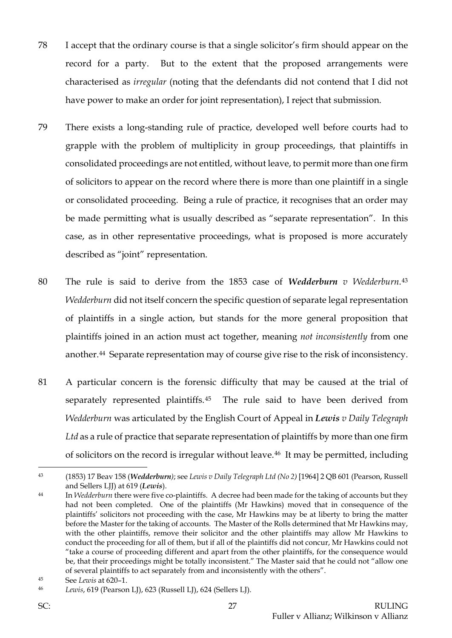- 78 I accept that the ordinary course is that a single solicitor's firm should appear on the record for a party. But to the extent that the proposed arrangements were characterised as *irregular* (noting that the defendants did not contend that I did not have power to make an order for joint representation), I reject that submission.
- 79 There exists a long-standing rule of practice, developed well before courts had to grapple with the problem of multiplicity in group proceedings, that plaintiffs in consolidated proceedings are not entitled, without leave, to permit more than one firm of solicitors to appear on the record where there is more than one plaintiff in a single or consolidated proceeding. Being a rule of practice, it recognises that an order may be made permitting what is usually described as "separate representation". In this case, as in other representative proceedings, what is proposed is more accurately described as "joint" representation.
- 80 The rule is said to derive from the 1853 case of *Wedderburn v Wedderburn.*[43](#page-27-0) *Wedderburn* did not itself concern the specific question of separate legal representation of plaintiffs in a single action, but stands for the more general proposition that plaintiffs joined in an action must act together, meaning *not inconsistently* from one another.[44](#page-27-1) Separate representation may of course give rise to the risk of inconsistency.
- 81 A particular concern is the forensic difficulty that may be caused at the trial of separately represented plaintiffs.[45](#page-27-2) The rule said to have been derived from *Wedderburn* was articulated by the English Court of Appeal in *Lewis v Daily Telegraph*  Ltd as a rule of practice that separate representation of plaintiffs by more than one firm of solicitors on the record is irregular without leave.<sup>[46](#page-27-3)</sup> It may be permitted, including

<span id="page-27-0"></span><sup>43</sup> (1853) 17 Beav 158 (*Wedderburn)*; see *Lewis v Daily Telegraph Ltd (No 2)* [1964] 2 QB 601 (Pearson, Russell and Sellers LJJ) at 619 (*Lewis*).

<span id="page-27-1"></span><sup>44</sup> In *Wedderburn* there were five co-plaintiffs. A decree had been made for the taking of accounts but they had not been completed. One of the plaintiffs (Mr Hawkins) moved that in consequence of the plaintiffs' solicitors not proceeding with the case, Mr Hawkins may be at liberty to bring the matter before the Master for the taking of accounts. The Master of the Rolls determined that Mr Hawkins may, with the other plaintiffs, remove their solicitor and the other plaintiffs may allow Mr Hawkins to conduct the proceeding for all of them, but if all of the plaintiffs did not concur, Mr Hawkins could not "take a course of proceeding different and apart from the other plaintiffs, for the consequence would be, that their proceedings might be totally inconsistent." The Master said that he could not "allow one of several plaintiffs to act separately from and inconsistently with the others".

<span id="page-27-2"></span><sup>45</sup> See *Lewis* at 620–1.

<span id="page-27-3"></span><sup>46</sup> *Lewis*, 619 (Pearson LJ), 623 (Russell LJ), 624 (Sellers LJ).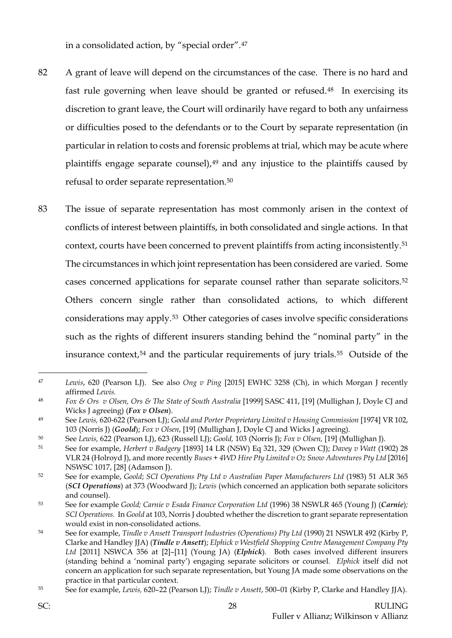in a consolidated action, by "special order".[47](#page-28-0)

- 82 A grant of leave will depend on the circumstances of the case. There is no hard and fast rule governing when leave should be granted or refused.[48](#page-28-1) In exercising its discretion to grant leave, the Court will ordinarily have regard to both any unfairness or difficulties posed to the defendants or to the Court by separate representation (in particular in relation to costs and forensic problems at trial, which may be acute where plaintiffs engage separate counsel),[49](#page-28-2) and any injustice to the plaintiffs caused by refusal to order separate representation.[50](#page-28-3)
- 83 The issue of separate representation has most commonly arisen in the context of conflicts of interest between plaintiffs, in both consolidated and single actions. In that context, courts have been concerned to prevent plaintiffs from acting inconsistently.[51](#page-28-4) The circumstances in which joint representation has been considered are varied. Some cases concerned applications for separate counsel rather than separate solicitors.[52](#page-28-5) Others concern single rather than consolidated actions, to which different considerations may apply.[53](#page-28-6) Other categories of cases involve specific considerations such as the rights of different insurers standing behind the "nominal party" in the insurance context,[54](#page-28-7) and the particular requirements of jury trials.[55](#page-28-8) Outside of the

- <span id="page-28-3"></span><sup>50</sup> See *Lewis,* 622 (Pearson LJ), 623 (Russell LJ); *Goold,* 103 (Norris J); *Fox v Olsen,* [19] (Mullighan J).
- <span id="page-28-4"></span><sup>51</sup> See for example, *Herbert v Badgery* [1893] 14 LR (NSW) Eq 321, 329 (Owen CJ); *Davey v Watt* (1902) 28 VLR 24 (Holroyd J), and more recently *Buses + 4WD Hire Pty Limited v Oz Snow Adventures Pty Ltd* [2016] NSWSC 1017, [28] (Adamson J).

<span id="page-28-0"></span><sup>47</sup> *Lewis*, 620 (Pearson LJ). See also *Ong v Ping* [2015] EWHC 3258 (Ch), in which Morgan J recently affirmed *Lewis.*

<span id="page-28-1"></span><sup>48</sup> *Fox & Ors v Olsen, Ors & The State of South Australia* [1999] SASC 411, [19] (Mullighan J, Doyle CJ and Wicks J agreeing) (*Fox v Olsen*).

<span id="page-28-2"></span><sup>49</sup> See *Lewis,* 620-622 (Pearson LJ); *Goold and Porter Proprietary Limited v Housing Commission* [1974] VR 102, 103 (Norris J) (*Goold*); *Fox v Olsen*, [19] (Mullighan J, Doyle CJ and Wicks J agreeing).

<span id="page-28-5"></span><sup>52</sup> See for example, *Goold*; *SCI Operations Pty Ltd v Australian Paper Manufacturers Ltd* (1983) 51 ALR 365 (*SCI Operations*) at 373 (Woodward J); *Lewis* (which concerned an application both separate solicitors and counsel).

<span id="page-28-6"></span><sup>53</sup> See for example *Goold; Carnie v Esada Finance Corporation Ltd* (1996) 38 NSWLR 465 (Young J) (*Carnie*)*; SCI Operations.* In *Goold* at 103, Norris J doubted whether the discretion to grant separate representation would exist in non-consolidated actions.

<span id="page-28-7"></span><sup>54</sup> See for example, *Tindle v Ansett Transport Industries (Operations) Pty Ltd* (1990) 21 NSWLR 492 (Kirby P, Clarke and Handley JJA) (*Tindle v Ansett*); *Elphick v Westfield Shopping Centre Management Company Pty Ltd* [2011] NSWCA 356 at [2]–[11] (Young JA) (*Elphick*). Both cases involved different insurers (standing behind a 'nominal party') engaging separate solicitors or counsel. *Elphick* itself did not concern an application for such separate representation, but Young JA made some observations on the practice in that particular context.

<span id="page-28-8"></span><sup>55</sup> See for example, *Lewis,* 620–22 (Pearson LJ); *Tindle v Ansett*, 500–01 (Kirby P, Clarke and Handley JJA).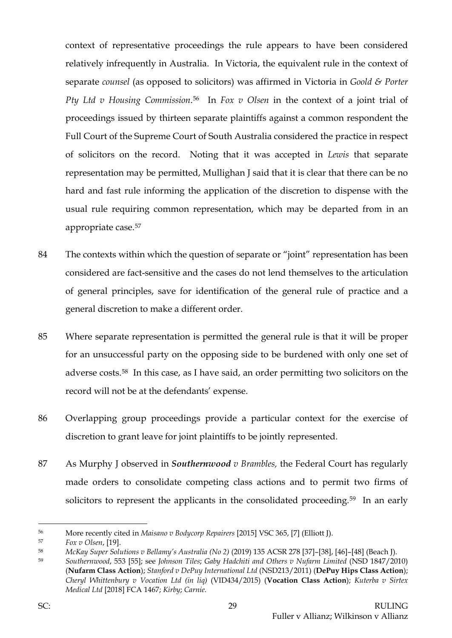context of representative proceedings the rule appears to have been considered relatively infrequently in Australia. In Victoria, the equivalent rule in the context of separate *counsel* (as opposed to solicitors) was affirmed in Victoria in *Goold & Porter Pty Ltd v Housing Commission*.[56](#page-29-0) In *Fox v Olsen* in the context of a joint trial of proceedings issued by thirteen separate plaintiffs against a common respondent the Full Court of the Supreme Court of South Australia considered the practice in respect of solicitors on the record. Noting that it was accepted in *Lewis* that separate representation may be permitted, Mullighan J said that it is clear that there can be no hard and fast rule informing the application of the discretion to dispense with the usual rule requiring common representation, which may be departed from in an appropriate case.[57](#page-29-1)

- 84 The contexts within which the question of separate or "joint" representation has been considered are fact-sensitive and the cases do not lend themselves to the articulation of general principles, save for identification of the general rule of practice and a general discretion to make a different order.
- 85 Where separate representation is permitted the general rule is that it will be proper for an unsuccessful party on the opposing side to be burdened with only one set of adverse costs.[58](#page-29-2) In this case, as I have said, an order permitting two solicitors on the record will not be at the defendants' expense.
- 86 Overlapping group proceedings provide a particular context for the exercise of discretion to grant leave for joint plaintiffs to be jointly represented.
- 87 As Murphy J observed in *Southernwood v Brambles,* the Federal Court has regularly made orders to consolidate competing class actions and to permit two firms of solicitors to represent the applicants in the consolidated proceeding.<sup>[59](#page-29-3)</sup> In an early

<span id="page-29-0"></span><sup>56</sup> More recently cited in *Maisano v Bodycorp Repairers* [2015] VSC 365, [7] (Elliott J).

<span id="page-29-1"></span><sup>57</sup> *Fox v Olsen*, [19].

<span id="page-29-2"></span><sup>58</sup> *McKay Super Solutions v Bellamy's Australia (No 2)* (2019) 135 ACSR 278 [37]–[38], [46]–[48] (Beach J).

<span id="page-29-3"></span><sup>59</sup> *Southernwood*, 553 [55]; see *Johnson Tiles*; *Gaby Hadchiti and Others v Nufarm Limited* (NSD 1847/2010) (**Nufarm Class Action**); *Stanford v DePuy International Ltd* (NSD213/2011) (**DePuy Hips Class Action**); *Cheryl Whittenbury v Vocation Ltd (in liq)* (VID434/2015) (**Vocation Class Action**); *Kuterba v Sirtex Medical Ltd* [2018] FCA 1467; *Kirby*; *Carnie*.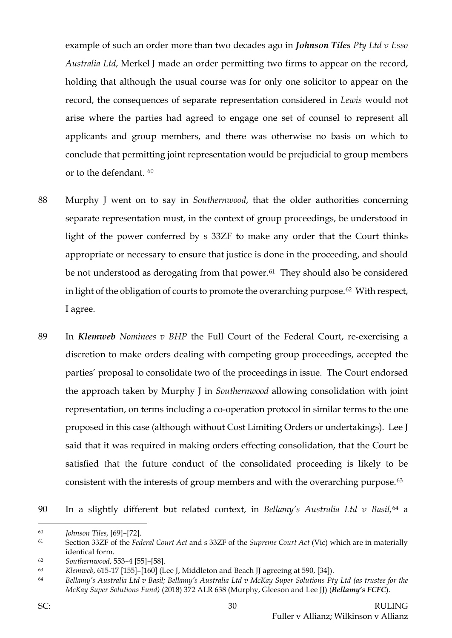example of such an order more than two decades ago in *Johnson Tiles Pty Ltd v Esso Australia Ltd*, Merkel J made an order permitting two firms to appear on the record, holding that although the usual course was for only one solicitor to appear on the record, the consequences of separate representation considered in *Lewis* would not arise where the parties had agreed to engage one set of counsel to represent all applicants and group members, and there was otherwise no basis on which to conclude that permitting joint representation would be prejudicial to group members or to the defendant. [60](#page-30-0)

- 88 Murphy J went on to say in *Southernwood*, that the older authorities concerning separate representation must, in the context of group proceedings, be understood in light of the power conferred by s 33ZF to make any order that the Court thinks appropriate or necessary to ensure that justice is done in the proceeding, and should be not understood as derogating from that power.<sup>61</sup> They should also be considered in light of the obligation of courts to promote the overarching purpose.<sup>62</sup> With respect, I agree.
- 89 In *Klemweb Nominees v BHP* the Full Court of the Federal Court, re-exercising a discretion to make orders dealing with competing group proceedings, accepted the parties' proposal to consolidate two of the proceedings in issue. The Court endorsed the approach taken by Murphy J in *Southernwood* allowing consolidation with joint representation, on terms including a co-operation protocol in similar terms to the one proposed in this case (although without Cost Limiting Orders or undertakings). Lee J said that it was required in making orders effecting consolidation, that the Court be satisfied that the future conduct of the consolidated proceeding is likely to be consistent with the interests of group members and with the overarching purpose.[63](#page-30-3)
- 90 In a slightly different but related context, in *Bellamy's Australia Ltd v Basil,*[64](#page-30-4) a

<span id="page-30-0"></span><sup>60</sup> *Johnson Tiles*, [69]–[72].

<span id="page-30-1"></span><sup>61</sup> Section 33ZF of the *Federal Court Act* and s 33ZF of the *Supreme Court Act* (Vic) which are in materially identical form.

<span id="page-30-2"></span><sup>62</sup> *Southernwood*, 553–4 [55]–[58].

<span id="page-30-3"></span><sup>63</sup> *Klemweb*, 615-17 [155]–[160] (Lee J, Middleton and Beach JJ agreeing at 590, [34]).

<span id="page-30-4"></span><sup>64</sup> *Bellamy's Australia Ltd v Basil; Bellamy's Australia Ltd v McKay Super Solutions Pty Ltd (as trustee for the McKay Super Solutions Fund)* (2018) 372 ALR 638 (Murphy, Gleeson and Lee JJ) (*Bellamy's FCFC*).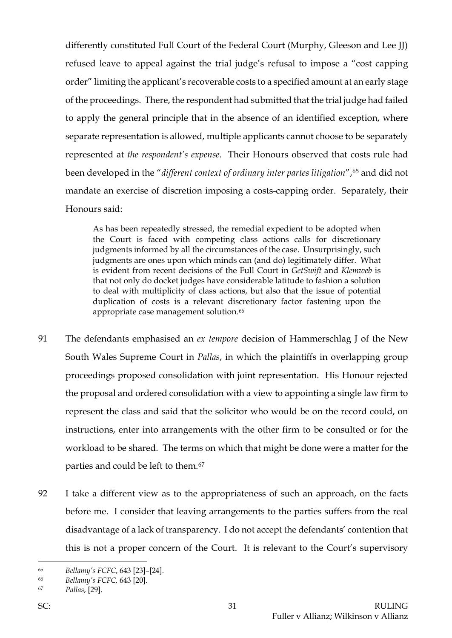differently constituted Full Court of the Federal Court (Murphy, Gleeson and Lee JJ) refused leave to appeal against the trial judge's refusal to impose a "cost capping order" limiting the applicant's recoverable costs to a specified amount at an early stage of the proceedings. There, the respondent had submitted that the trial judge had failed to apply the general principle that in the absence of an identified exception, where separate representation is allowed, multiple applicants cannot choose to be separately represented at *the respondent's expense*. Their Honours observed that costs rule had been developed in the "*different context of ordinary inter partes litigation*",<sup>[65](#page-31-0)</sup> and did not mandate an exercise of discretion imposing a costs-capping order. Separately, their Honours said:

As has been repeatedly stressed, the remedial expedient to be adopted when the Court is faced with competing class actions calls for discretionary judgments informed by all the circumstances of the case. Unsurprisingly, such judgments are ones upon which minds can (and do) legitimately differ. What is evident from recent decisions of the Full Court in *GetSwift* and *Klemweb* is that not only do docket judges have considerable latitude to fashion a solution to deal with multiplicity of class actions, but also that the issue of potential duplication of costs is a relevant discretionary factor fastening upon the appropriate case management solution.<sup>[66](#page-31-1)</sup>

- 91 The defendants emphasised an *ex tempore* decision of Hammerschlag J of the New South Wales Supreme Court in *Pallas*, in which the plaintiffs in overlapping group proceedings proposed consolidation with joint representation. His Honour rejected the proposal and ordered consolidation with a view to appointing a single law firm to represent the class and said that the solicitor who would be on the record could, on instructions, enter into arrangements with the other firm to be consulted or for the workload to be shared. The terms on which that might be done were a matter for the parties and could be left to them.[67](#page-31-2)
- 92 I take a different view as to the appropriateness of such an approach, on the facts before me. I consider that leaving arrangements to the parties suffers from the real disadvantage of a lack of transparency. I do not accept the defendants' contention that this is not a proper concern of the Court. It is relevant to the Court's supervisory

<span id="page-31-0"></span><sup>65</sup> *Bellamy's FCFC*, 643 [23]–[24].

<span id="page-31-1"></span><sup>66</sup> *Bellamy's FCFC,* 643 [20].

<span id="page-31-2"></span><sup>67</sup> *Pallas*, [29].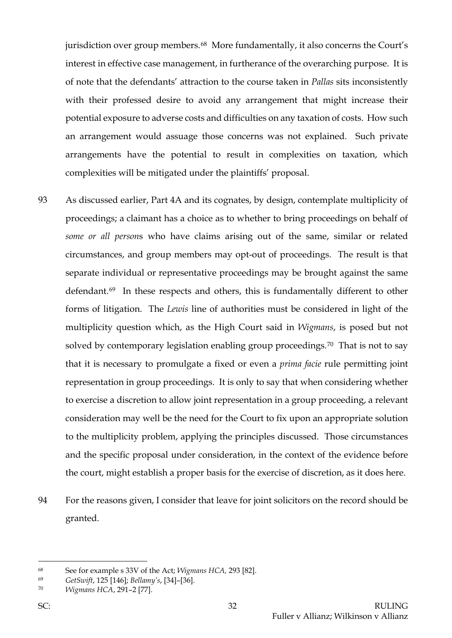jurisdiction over group members.<sup>[68](#page-32-0)</sup> More fundamentally, it also concerns the Court's interest in effective case management, in furtherance of the overarching purpose. It is of note that the defendants' attraction to the course taken in *Pallas* sits inconsistently with their professed desire to avoid any arrangement that might increase their potential exposure to adverse costs and difficulties on any taxation of costs. How such an arrangement would assuage those concerns was not explained. Such private arrangements have the potential to result in complexities on taxation, which complexities will be mitigated under the plaintiffs' proposal.

- 93 As discussed earlier, Part 4A and its cognates, by design, contemplate multiplicity of proceedings; a claimant has a choice as to whether to bring proceedings on behalf of *some or all person*s who have claims arising out of the same, similar or related circumstances, and group members may opt-out of proceedings. The result is that separate individual or representative proceedings may be brought against the same defendant.[69](#page-32-1) In these respects and others, this is fundamentally different to other forms of litigation. The *Lewis* line of authorities must be considered in light of the multiplicity question which, as the High Court said in *Wigmans*, is posed but not solved by contemporary legislation enabling group proceedings.<sup>70</sup> That is not to say that it is necessary to promulgate a fixed or even a *prima facie* rule permitting joint representation in group proceedings. It is only to say that when considering whether to exercise a discretion to allow joint representation in a group proceeding, a relevant consideration may well be the need for the Court to fix upon an appropriate solution to the multiplicity problem, applying the principles discussed. Those circumstances and the specific proposal under consideration, in the context of the evidence before the court, might establish a proper basis for the exercise of discretion, as it does here.
- 94 For the reasons given, I consider that leave for joint solicitors on the record should be granted.

<span id="page-32-0"></span><sup>68</sup> See for example s 33V of the Act; *Wigmans HCA,* 293 [82].

<span id="page-32-1"></span><sup>69</sup> *GetSwift*, 125 [146]; *Bellamy's*, [34]–[36].

<span id="page-32-2"></span><sup>70</sup> *Wigmans HCA*, 291–2 [77].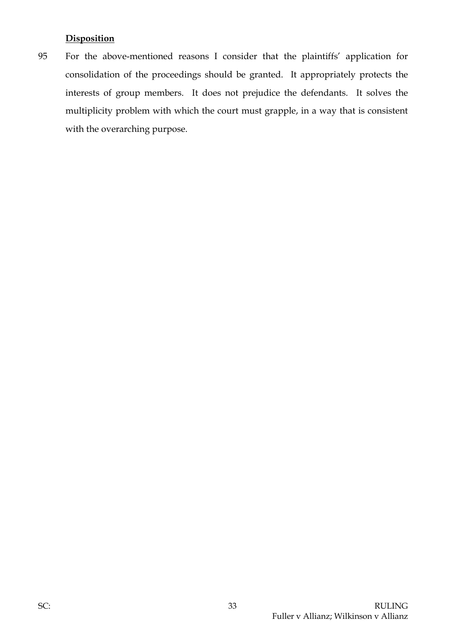# **Disposition**

95 For the above-mentioned reasons I consider that the plaintiffs' application for consolidation of the proceedings should be granted. It appropriately protects the interests of group members. It does not prejudice the defendants. It solves the multiplicity problem with which the court must grapple, in a way that is consistent with the overarching purpose.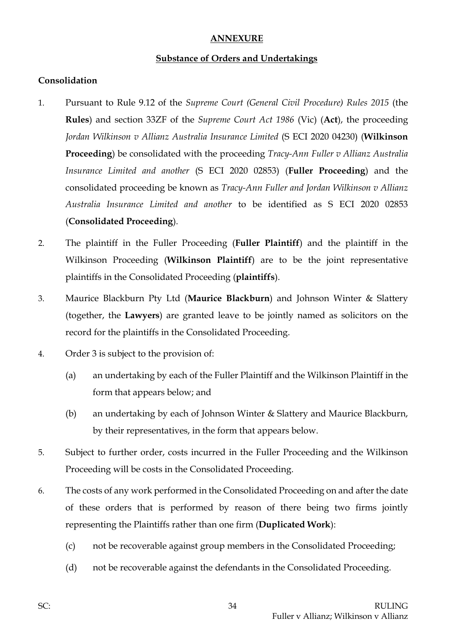### **ANNEXURE**

### **Substance of Orders and Undertakings**

### **Consolidation**

- 1. Pursuant to Rule 9.12 of the *Supreme Court (General Civil Procedure) Rules 2015* (the **Rules**) and section 33ZF of the *Supreme Court Act 1986* (Vic) (**Act**), the proceeding *Jordan Wilkinson v Allianz Australia Insurance Limited* (S ECI 2020 04230) (**Wilkinson Proceeding**) be consolidated with the proceeding *Tracy-Ann Fuller v Allianz Australia Insurance Limited and another* (S ECI 2020 02853) (**Fuller Proceeding**) and the consolidated proceeding be known as *Tracy-Ann Fuller and Jordan Wilkinson v Allianz Australia Insurance Limited and another* to be identified as S ECI 2020 02853 (**Consolidated Proceeding**).
- 2. The plaintiff in the Fuller Proceeding (**Fuller Plaintiff**) and the plaintiff in the Wilkinson Proceeding (**Wilkinson Plaintiff**) are to be the joint representative plaintiffs in the Consolidated Proceeding (**plaintiffs**).
- 3. Maurice Blackburn Pty Ltd (**Maurice Blackburn**) and Johnson Winter & Slattery (together, the **Lawyers**) are granted leave to be jointly named as solicitors on the record for the plaintiffs in the Consolidated Proceeding.
- 4. Order 3 is subject to the provision of:
	- (a) an undertaking by each of the Fuller Plaintiff and the Wilkinson Plaintiff in the form that appears below; and
	- (b) an undertaking by each of Johnson Winter & Slattery and Maurice Blackburn, by their representatives, in the form that appears below.
- 5. Subject to further order, costs incurred in the Fuller Proceeding and the Wilkinson Proceeding will be costs in the Consolidated Proceeding.
- 6. The costs of any work performed in the Consolidated Proceeding on and after the date of these orders that is performed by reason of there being two firms jointly representing the Plaintiffs rather than one firm (**Duplicated Work**):
	- (c) not be recoverable against group members in the Consolidated Proceeding;
	- (d) not be recoverable against the defendants in the Consolidated Proceeding.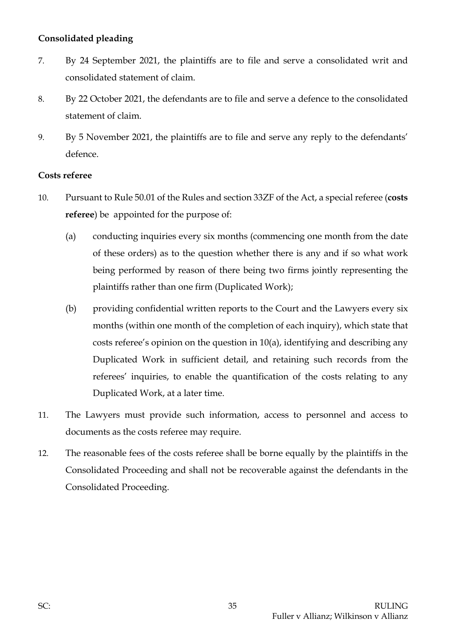# **Consolidated pleading**

- 7. By 24 September 2021, the plaintiffs are to file and serve a consolidated writ and consolidated statement of claim.
- 8. By 22 October 2021, the defendants are to file and serve a defence to the consolidated statement of claim.
- 9. By 5 November 2021, the plaintiffs are to file and serve any reply to the defendants' defence.

### **Costs referee**

- 10. Pursuant to Rule 50.01 of the Rules and section 33ZF of the Act, a special referee (**costs referee**) be appointed for the purpose of:
	- (a) conducting inquiries every six months (commencing one month from the date of these orders) as to the question whether there is any and if so what work being performed by reason of there being two firms jointly representing the plaintiffs rather than one firm (Duplicated Work);
	- (b) providing confidential written reports to the Court and the Lawyers every six months (within one month of the completion of each inquiry), which state that costs referee's opinion on the question in 10(a), identifying and describing any Duplicated Work in sufficient detail, and retaining such records from the referees' inquiries, to enable the quantification of the costs relating to any Duplicated Work, at a later time.
- 11. The Lawyers must provide such information, access to personnel and access to documents as the costs referee may require.
- 12. The reasonable fees of the costs referee shall be borne equally by the plaintiffs in the Consolidated Proceeding and shall not be recoverable against the defendants in the Consolidated Proceeding.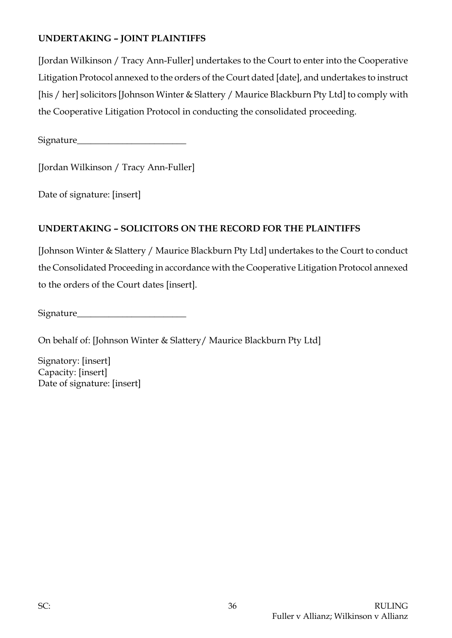# **UNDERTAKING – JOINT PLAINTIFFS**

[Jordan Wilkinson / Tracy Ann-Fuller] undertakes to the Court to enter into the Cooperative Litigation Protocol annexed to the orders of the Court dated [date], and undertakes to instruct [his / her] solicitors [Johnson Winter & Slattery / Maurice Blackburn Pty Ltd] to comply with the Cooperative Litigation Protocol in conducting the consolidated proceeding.

Signature\_\_\_\_\_\_\_\_\_\_\_\_\_\_\_\_\_\_\_\_\_\_\_\_

[Jordan Wilkinson / Tracy Ann-Fuller]

Date of signature: [insert]

# **UNDERTAKING – SOLICITORS ON THE RECORD FOR THE PLAINTIFFS**

[Johnson Winter & Slattery / Maurice Blackburn Pty Ltd] undertakes to the Court to conduct the Consolidated Proceeding in accordance with the Cooperative Litigation Protocol annexed to the orders of the Court dates [insert].

| <b>Signature</b> |  |
|------------------|--|
|                  |  |

On behalf of: [Johnson Winter & Slattery/ Maurice Blackburn Pty Ltd]

Signatory: [insert] Capacity: [insert] Date of signature: [insert]